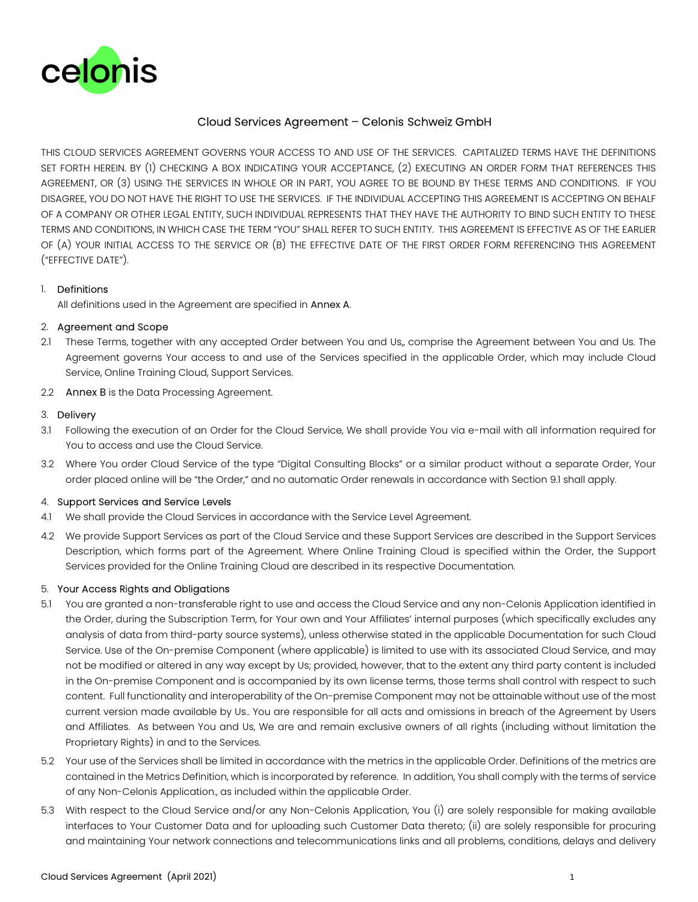

# Cloud Services Agreement – Celonis Schweiz GmbH

THIS CLOUD SERVICES AGREEMENT GOVERNS YOUR ACCESS TO AND USE OF THE SERVICES. CAPITALIZED TERMS HAVE THE DEFINITIONS SET FORTH HEREIN. BY (1) CHECKING A BOX INDICATING YOUR ACCEPTANCE, (2) EXECUTING AN ORDER FORM THAT REFERENCES THIS AGREEMENT, OR (3) USING THE SERVICES IN WHOLE OR IN PART, YOU AGREE TO BE BOUND BY THESE TERMS AND CONDITIONS. IF YOU DISAGREE, YOU DO NOT HAVE THE RIGHT TO USE THE SERVICES. IF THE INDIVIDUAL ACCEPTING THIS AGREEMENT IS ACCEPTING ON BEHALF OF A COMPANY OR OTHER LEGAL ENTITY, SUCH INDIVIDUAL REPRESENTS THAT THEY HAVE THE AUTHORITY TO BIND SUCH ENTITY TO THESE TERMS AND CONDITIONS, IN WHICH CASE THE TERM "YOU" SHALL REFER TO SUCH ENTITY. THIS AGREEMENT IS EFFECTIVE AS OF THE EARLIER OF (A) YOUR INITIAL ACCESS TO THE SERVICE OR (B) THE EFFECTIVE DATE OF THE FIRST ORDER FORM REFERENCING THIS AGREEMENT ("EFFECTIVE DATE").

### 1. Definitions

All definitions used in the Agreement are specified in Annex A.

### 2. Agreement and Scope

- 2.1 These Terms, together with any accepted Order between You and Us,, comprise the Agreement between You and Us. The Agreement governs Your access to and use of the Services specified in the applicable Order, which may include Cloud Service, Online Training Cloud, Support Services.
- 2.2 Annex B is the Data Processing Agreement.

### 3. Delivery

- 3.1 Following the execution of an Order for the Cloud Service, We shall provide You via e-mail with all information required for You to access and use the Cloud Service.
- 3.2 Where You order Cloud Service of the type "Digital Consulting Blocks" or a similar product without a separate Order, Your order placed online will be "the Order," and no automatic Order renewals in accordance with Section 9.1 shall apply.

### 4. Support Services and Service Levels

- 4.1 We shall provide the Cloud Services in accordance with the Service Level Agreement.
- 4.2 We provide Support Services as part of the Cloud Service and these Support Services are described in the Support Services Description, which forms part of the Agreement. Where Online Training Cloud is specified within the Order, the Support Services provided for the Online Training Cloud are described in its respective Documentation.

### 5. Your Access Rights and Obligations

- 5.1 You are granted a non-transferable right to use and access the Cloud Service and any non-Celonis Application identified in the Order, during the Subscription Term, for Your own and Your Affiliates' internal purposes (which specifically excludes any analysis of data from third-party source systems), unless otherwise stated in the applicable Documentation for such Cloud Service. Use of the On-premise Component (where applicable) is limited to use with its associated Cloud Service, and may not be modified or altered in any way except by Us; provided, however, that to the extent any third party content is included in the On-premise Component and is accompanied by its own license terms, those terms shall control with respect to such content. Full functionality and interoperability of the On-premise Component may not be attainable without use of the most current version made available by Us.. You are responsible for all acts and omissions in breach of the Agreement by Users and Affiliates. As between You and Us, We are and remain exclusive owners of all rights (including without limitation the Proprietary Rights) in and to the Services.
- 5.2 Your use of the Services shall be limited in accordance with the metrics in the applicable Order. Definitions of the metrics are contained in the Metrics Definition, which is incorporated by reference. In addition, You shall comply with the terms of service of any Non-Celonis Application., as included within the applicable Order.
- 5.3 With respect to the Cloud Service and/or any Non-Celonis Application, You (i) are solely responsible for making available interfaces to Your Customer Data and for uploading such Customer Data thereto; (ii) are solely responsible for procuring and maintaining Your network connections and telecommunications links and all problems, conditions, delays and delivery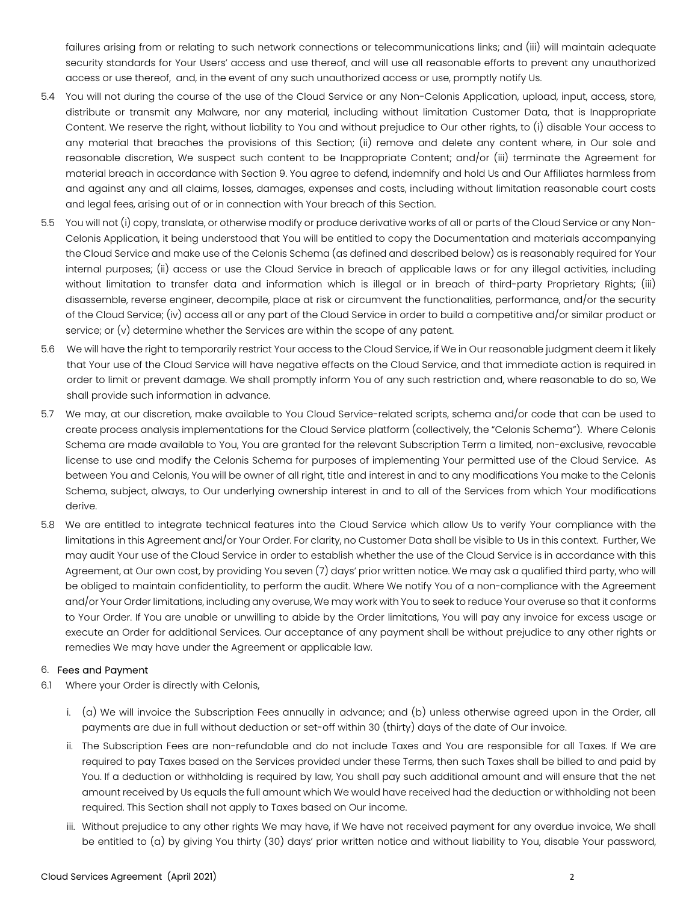failures arising from or relating to such network connections or telecommunications links; and (iii) will maintain adequate security standards for Your Users' access and use thereof, and will use all reasonable efforts to prevent any unauthorized access or use thereof, and, in the event of any such unauthorized access or use, promptly notify Us.

- 5.4 You will not during the course of the use of the Cloud Service or any Non-Celonis Application, upload, input, access, store, distribute or transmit any Malware, nor any material, including without limitation Customer Data, that is Inappropriate Content. We reserve the right, without liability to You and without prejudice to Our other rights, to (i) disable Your access to any material that breaches the provisions of this Section; (ii) remove and delete any content where, in Our sole and reasonable discretion, We suspect such content to be Inappropriate Content; and/or (iii) terminate the Agreement for material breach in accordance with Section 9. You agree to defend, indemnify and hold Us and Our Affiliates harmless from and against any and all claims, losses, damages, expenses and costs, including without limitation reasonable court costs and legal fees, arising out of or in connection with Your breach of this Section.
- 5.5 You will not (i) copy, translate, or otherwise modify or produce derivative works of all or parts of the Cloud Service or any Non-Celonis Application, it being understood that You will be entitled to copy the Documentation and materials accompanying the Cloud Service and make use of the Celonis Schema (as defined and described below) as is reasonably required for Your internal purposes; (ii) access or use the Cloud Service in breach of applicable laws or for any illegal activities, including without limitation to transfer data and information which is illegal or in breach of third-party Proprietary Rights; (iii) disassemble, reverse engineer, decompile, place at risk or circumvent the functionalities, performance, and/or the security of the Cloud Service; (iv) access all or any part of the Cloud Service in order to build a competitive and/or similar product or service; or (v) determine whether the Services are within the scope of any patent.
- 5.6 We will have the right to temporarily restrict Your access to the Cloud Service, if We in Our reasonable judgment deem it likely that Your use of the Cloud Service will have negative effects on the Cloud Service, and that immediate action is required in order to limit or prevent damage. We shall promptly inform You of any such restriction and, where reasonable to do so, We shall provide such information in advance.
- 5.7 We may, at our discretion, make available to You Cloud Service-related scripts, schema and/or code that can be used to create process analysis implementations for the Cloud Service platform (collectively, the "Celonis Schema"). Where Celonis Schema are made available to You, You are granted for the relevant Subscription Term a limited, non-exclusive, revocable license to use and modify the Celonis Schema for purposes of implementing Your permitted use of the Cloud Service. As between You and Celonis, You will be owner of all right, title and interest in and to any modifications You make to the Celonis Schema, subject, always, to Our underlying ownership interest in and to all of the Services from which Your modifications derive.
- 5.8 We are entitled to integrate technical features into the Cloud Service which allow Us to verify Your compliance with the limitations in this Agreement and/or Your Order. For clarity, no Customer Data shall be visible to Us in this context. Further, We may audit Your use of the Cloud Service in order to establish whether the use of the Cloud Service is in accordance with this Agreement, at Our own cost, by providing You seven (7) days' prior written notice. We may ask a qualified third party, who will be obliged to maintain confidentiality, to perform the audit. Where We notify You of a non-compliance with the Agreement and/or Your Order limitations, including any overuse, We may work with You to seek to reduce Your overuse so that it conforms to Your Order. If You are unable or unwilling to abide by the Order limitations, You will pay any invoice for excess usage or execute an Order for additional Services. Our acceptance of any payment shall be without prejudice to any other rights or remedies We may have under the Agreement or applicable law.

# 6. Fees and Payment

- 6.1 Where your Order is directly with Celonis,
	- i. (a) We will invoice the Subscription Fees annually in advance; and (b) unless otherwise agreed upon in the Order, all payments are due in full without deduction or set-off within 30 (thirty) days of the date of Our invoice.
	- ii. The Subscription Fees are non-refundable and do not include Taxes and You are responsible for all Taxes. If We are required to pay Taxes based on the Services provided under these Terms, then such Taxes shall be billed to and paid by You. If a deduction or withholding is required by law, You shall pay such additional amount and will ensure that the net amount received by Us equals the full amount which We would have received had the deduction or withholding not been required. This Section shall not apply to Taxes based on Our income.
	- iii. Without prejudice to any other rights We may have, if We have not received payment for any overdue invoice, We shall be entitled to (a) by giving You thirty (30) days' prior written notice and without liability to You, disable Your password,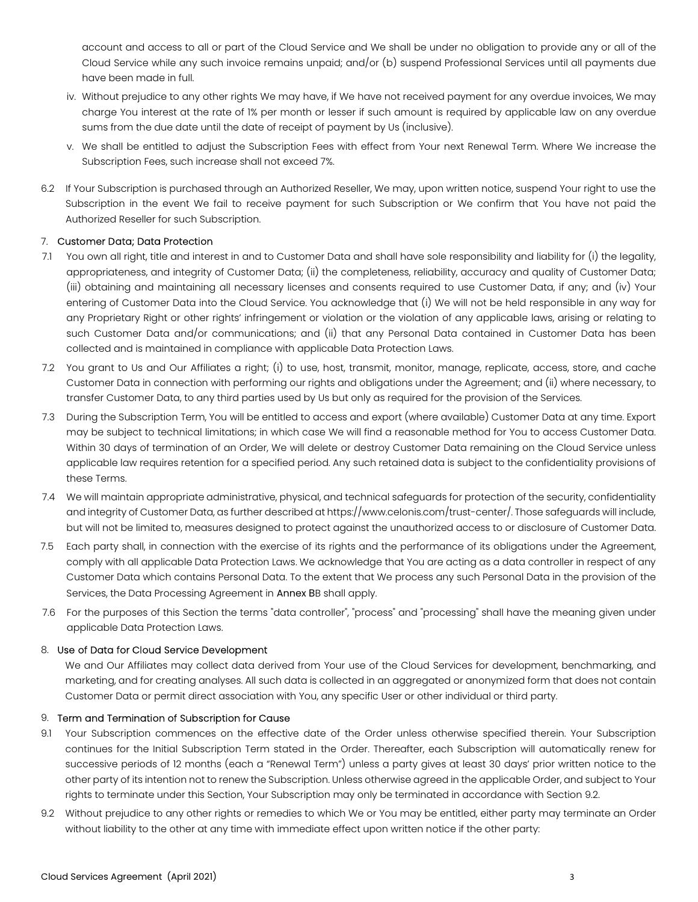account and access to all or part of the Cloud Service and We shall be under no obligation to provide any or all of the Cloud Service while any such invoice remains unpaid; and/or (b) suspend Professional Services until all payments due have been made in full.

- iv. Without prejudice to any other rights We may have, if We have not received payment for any overdue invoices, We may charge You interest at the rate of 1% per month or lesser if such amount is required by applicable law on any overdue sums from the due date until the date of receipt of payment by Us (inclusive).
- v. We shall be entitled to adjust the Subscription Fees with effect from Your next Renewal Term. Where We increase the Subscription Fees, such increase shall not exceed 7%.
- 6.2 If Your Subscription is purchased through an Authorized Reseller, We may, upon written notice, suspend Your right to use the Subscription in the event We fail to receive payment for such Subscription or We confirm that You have not paid the Authorized Reseller for such Subscription.

# 7. Customer Data; Data Protection

- 7.1 You own all right, title and interest in and to Customer Data and shall have sole responsibility and liability for (i) the legality, appropriateness, and integrity of Customer Data; (ii) the completeness, reliability, accuracy and quality of Customer Data; (iii) obtaining and maintaining all necessary licenses and consents required to use Customer Data, if any; and (iv) Your entering of Customer Data into the Cloud Service. You acknowledge that (i) We will not be held responsible in any way for any Proprietary Right or other rights' infringement or violation or the violation of any applicable laws, arising or relating to such Customer Data and/or communications; and (ii) that any Personal Data contained in Customer Data has been collected and is maintained in compliance with applicable Data Protection Laws.
- 7.2 You grant to Us and Our Affiliates a right; (i) to use, host, transmit, monitor, manage, replicate, access, store, and cache Customer Data in connection with performing our rights and obligations under the Agreement; and (ii) where necessary, to transfer Customer Data, to any third parties used by Us but only as required for the provision of the Services.
- 7.3 During the Subscription Term, You will be entitled to access and export (where available) Customer Data at any time. Export may be subject to technical limitations; in which case We will find a reasonable method for You to access Customer Data. Within 30 days of termination of an Order, We will delete or destroy Customer Data remaining on the Cloud Service unless applicable law requires retention for a specified period. Any such retained data is subject to the confidentiality provisions of these Terms.
- 7.4 We will maintain appropriate administrative, physical, and technical safeguards for protection of the security, confidentiality and integrity of Customer Data, as further described at https://www.celonis.com/trust-center/. Those safeguards will include, but will not be limited to, measures designed to protect against the unauthorized access to or disclosure of Customer Data.
- 7.5 Each party shall, in connection with the exercise of its rights and the performance of its obligations under the Agreement, comply with all applicable Data Protection Laws. We acknowledge that You are acting as a data controller in respect of any Customer Data which contains Personal Data. To the extent that We process any such Personal Data in the provision of the Services, the Data Processing Agreement in Annex BB shall apply.
- 7.6 For the purposes of this Section the terms "data controller", "process" and "processing" shall have the meaning given under applicable Data Protection Laws.

# 8. Use of Data for Cloud Service Development

We and Our Affiliates may collect data derived from Your use of the Cloud Services for development, benchmarking, and marketing, and for creating analyses. All such data is collected in an aggregated or anonymized form that does not contain Customer Data or permit direct association with You, any specific User or other individual or third party.

### 9. Term and Termination of Subscription for Cause

- 9.1 Your Subscription commences on the effective date of the Order unless otherwise specified therein. Your Subscription continues for the Initial Subscription Term stated in the Order. Thereafter, each Subscription will automatically renew for successive periods of 12 months (each a "Renewal Term") unless a party gives at least 30 days' prior written notice to the other party of its intention not to renew the Subscription. Unless otherwise agreed in the applicable Order, and subject to Your rights to terminate under this Section, Your Subscription may only be terminated in accordance with Section 9.2.
- 9.2 Without prejudice to any other rights or remedies to which We or You may be entitled, either party may terminate an Order without liability to the other at any time with immediate effect upon written notice if the other party: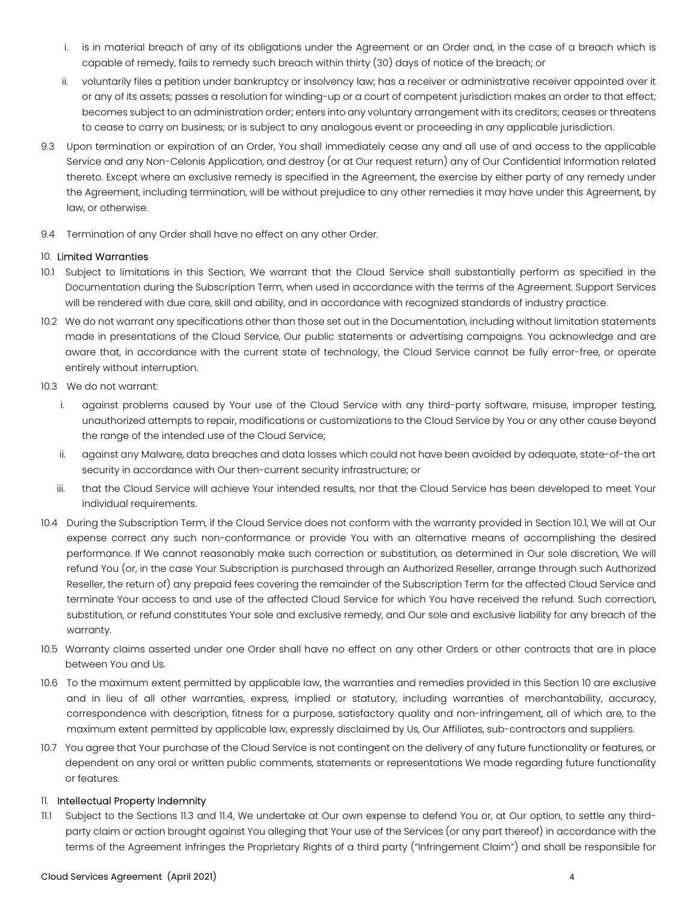- i. is in material breach of any of its obligations under the Agreement or an Order and, in the case of a breach which is capable of remedy, fails to remedy such breach within thirty (30) days of notice of the breach; or
- ii. voluntarily files a petition under bankruptcy or insolvency law; has a receiver or administrative receiver appointed over it or any of its assets; passes a resolution for winding-up or a court of competent jurisdiction makes an order to that effect; becomes subject to an administration order; enters into any voluntary arrangement with its creditors; ceases or threatens to cease to carry on business; or is subject to any analogous event or proceeding in any applicable jurisdiction.
- 9.3 Upon termination or expiration of an Order, You shall immediately cease any and all use of and access to the applicable Service and any Non-Celonis Application, and destroy (or at Our request return) any of Our Confidential Information related thereto. Except where an exclusive remedy is specified in the Agreement, the exercise by either party of any remedy under the Agreement, including termination, will be without prejudice to any other remedies it may have under this Agreement, by law, or otherwise.
- 9.4 Termination of any Order shall have no effect on any other Order.

# 10. Limited Warranties

- 10.1 Subject to limitations in this Section, We warrant that the Cloud Service shall substantially perform as specified in the Documentation during the Subscription Term, when used in accordance with the terms of the Agreement. Support Services will be rendered with due care, skill and ability, and in accordance with recognized standards of industry practice.
- 10.2 We do not warrant any specifications other than those set out in the Documentation, including without limitation statements made in presentations of the Cloud Service, Our public statements or advertising campaigns. You acknowledge and are aware that, in accordance with the current state of technology, the Cloud Service cannot be fully error-free, or operate entirely without interruption.
- 10.3 We do not warrant:
	- i. against problems caused by Your use of the Cloud Service with any third-party software, misuse, improper testing, unauthorized attempts to repair, modifications or customizations to the Cloud Service by You or any other cause beyond the range of the intended use of the Cloud Service;
	- ii. against any Malware, data breaches and data losses which could not have been avoided by adequate, state-of-the art security in accordance with Our then-current security infrastructure; or
	- iii. that the Cloud Service will achieve Your intended results, nor that the Cloud Service has been developed to meet Your individual requirements.
- 10.4 During the Subscription Term, if the Cloud Service does not conform with the warranty provided in Section 10.1, We will at Our expense correct any such non-conformance or provide You with an alternative means of accomplishing the desired performance. If We cannot reasonably make such correction or substitution, as determined in Our sole discretion, We will refund You (or, in the case Your Subscription is purchased through an Authorized Reseller, arrange through such Authorized Reseller, the return of) any prepaid fees covering the remainder of the Subscription Term for the affected Cloud Service and terminate Your access to and use of the affected Cloud Service for which You have received the refund. Such correction, substitution, or refund constitutes Your sole and exclusive remedy, and Our sole and exclusive liability for any breach of the warranty.
- 10.5 Warranty claims asserted under one Order shall have no effect on any other Orders or other contracts that are in place between You and Us.
- 10.6 To the maximum extent permitted by applicable law, the warranties and remedies provided in this Section 10 are exclusive and in lieu of all other warranties, express, implied or statutory, including warranties of merchantability, accuracy, correspondence with description, fitness for a purpose, satisfactory quality and non-infringement, all of which are, to the maximum extent permitted by applicable law, expressly disclaimed by Us, Our Affiliates, sub-contractors and suppliers.
- 10.7 You agree that Your purchase of the Cloud Service is not contingent on the delivery of any future functionality or features, or dependent on any oral or written public comments, statements or representations We made regarding future functionality or features.

### 11. Intellectual Property Indemnity

11.1 Subject to the Sections 11.3 and 11.4, We undertake at Our own expense to defend You or, at Our option, to settle any thirdparty claim or action brought against You alleging that Your use of the Services (or any part thereof) in accordance with the terms of the Agreement infringes the Proprietary Rights of a third party ("Infringement Claim") and shall be responsible for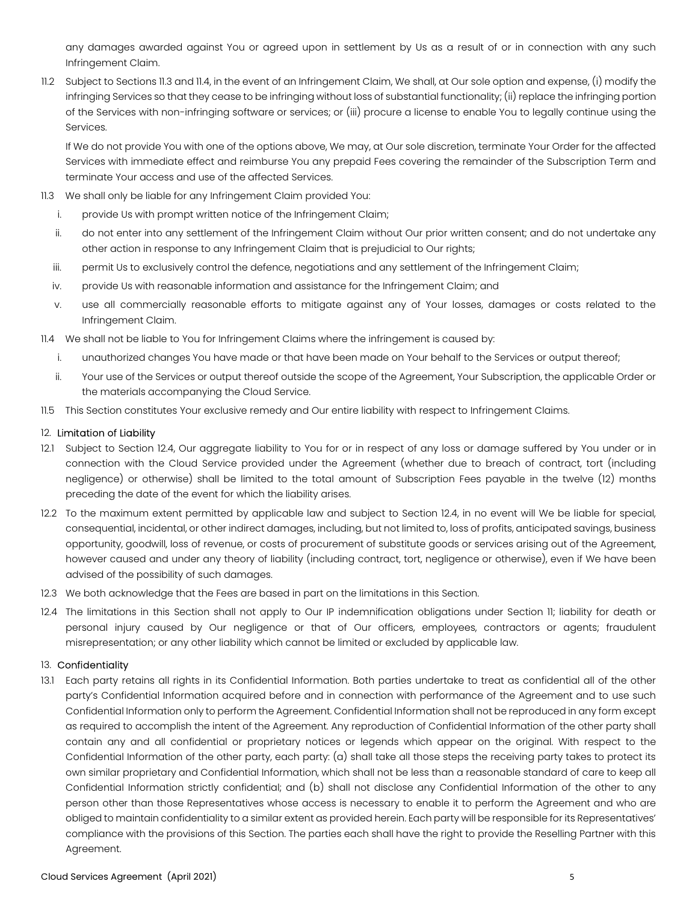any damages awarded against You or agreed upon in settlement by Us as a result of or in connection with any such Infringement Claim.

11.2 Subject to Sections 11.3 and 11.4, in the event of an Infringement Claim, We shall, at Our sole option and expense, (i) modify the infringing Services so that they cease to be infringing without loss of substantial functionality; (ii) replace the infringing portion of the Services with non-infringing software or services; or (iii) procure a license to enable You to legally continue using the Services.

If We do not provide You with one of the options above, We may, at Our sole discretion, terminate Your Order for the affected Services with immediate effect and reimburse You any prepaid Fees covering the remainder of the Subscription Term and terminate Your access and use of the affected Services.

- 11.3 We shall only be liable for any Infringement Claim provided You:
	- i. provide Us with prompt written notice of the Infringement Claim;
	- ii. do not enter into any settlement of the Infringement Claim without Our prior written consent; and do not undertake any other action in response to any Infringement Claim that is prejudicial to Our rights;
	- iii. permit Us to exclusively control the defence, negotiations and any settlement of the Infringement Claim;
	- iv. provide Us with reasonable information and assistance for the Infringement Claim; and
	- v. use all commercially reasonable efforts to mitigate against any of Your losses, damages or costs related to the Infringement Claim.
- 11.4 We shall not be liable to You for Infringement Claims where the infringement is caused by:
	- i. unauthorized changes You have made or that have been made on Your behalf to the Services or output thereof;
	- ii. Your use of the Services or output thereof outside the scope of the Agreement, Your Subscription, the applicable Order or the materials accompanying the Cloud Service.
- 11.5 This Section constitutes Your exclusive remedy and Our entire liability with respect to Infringement Claims.

### 12. Limitation of Liability

- 12.1 Subject to Section 12.4, Our aggregate liability to You for or in respect of any loss or damage suffered by You under or in connection with the Cloud Service provided under the Agreement (whether due to breach of contract, tort (including negligence) or otherwise) shall be limited to the total amount of Subscription Fees payable in the twelve (12) months preceding the date of the event for which the liability arises.
- 12.2 To the maximum extent permitted by applicable law and subject to Section 12.4, in no event will We be liable for special, consequential, incidental, or other indirect damages, including, but not limited to, loss of profits, anticipated savings, business opportunity, goodwill, loss of revenue, or costs of procurement of substitute goods or services arising out of the Agreement, however caused and under any theory of liability (including contract, tort, negligence or otherwise), even if We have been advised of the possibility of such damages.
- 12.3 We both acknowledge that the Fees are based in part on the limitations in this Section.
- 12.4 The limitations in this Section shall not apply to Our IP indemnification obligations under Section 11; liability for death or personal injury caused by Our negligence or that of Our officers, employees, contractors or agents; fraudulent misrepresentation; or any other liability which cannot be limited or excluded by applicable law.

# 13. Confidentiality

13.1 Each party retains all rights in its Confidential Information. Both parties undertake to treat as confidential all of the other party's Confidential Information acquired before and in connection with performance of the Agreement and to use such Confidential Information only to perform the Agreement. Confidential Information shall not be reproduced in any form except as required to accomplish the intent of the Agreement. Any reproduction of Confidential Information of the other party shall contain any and all confidential or proprietary notices or legends which appear on the original. With respect to the Confidential Information of the other party, each party: (a) shall take all those steps the receiving party takes to protect its own similar proprietary and Confidential Information, which shall not be less than a reasonable standard of care to keep all Confidential Information strictly confidential; and (b) shall not disclose any Confidential Information of the other to any person other than those Representatives whose access is necessary to enable it to perform the Agreement and who are obliged to maintain confidentiality to a similar extent as provided herein. Each party will be responsible for its Representatives' compliance with the provisions of this Section. The parties each shall have the right to provide the Reselling Partner with this Agreement.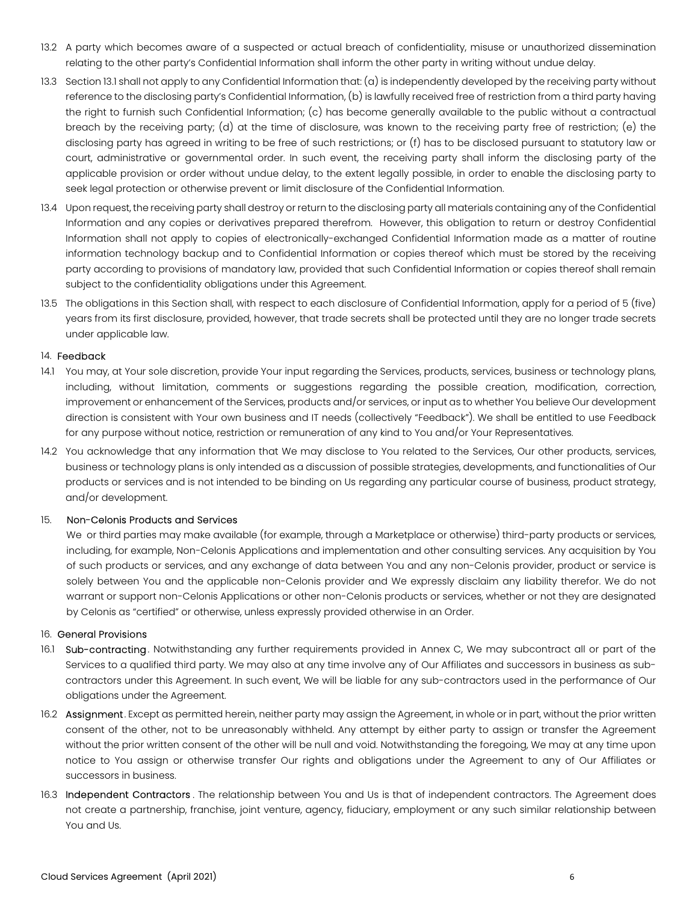- 13.2 A party which becomes aware of a suspected or actual breach of confidentiality, misuse or unauthorized dissemination relating to the other party's Confidential Information shall inform the other party in writing without undue delay.
- 13.3 Section 13.1 shall not apply to any Confidential Information that: (a) is independently developed by the receiving party without reference to the disclosing party's Confidential Information, (b) is lawfully received free of restriction from a third party having the right to furnish such Confidential Information; (c) has become generally available to the public without a contractual breach by the receiving party; (d) at the time of disclosure, was known to the receiving party free of restriction; (e) the disclosing party has agreed in writing to be free of such restrictions; or (f) has to be disclosed pursuant to statutory law or court, administrative or governmental order. In such event, the receiving party shall inform the disclosing party of the applicable provision or order without undue delay, to the extent legally possible, in order to enable the disclosing party to seek legal protection or otherwise prevent or limit disclosure of the Confidential Information.
- 13.4 Upon request, the receiving party shall destroy or return to the disclosing party all materials containing any of the Confidential Information and any copies or derivatives prepared therefrom. However, this obligation to return or destroy Confidential Information shall not apply to copies of electronically-exchanged Confidential Information made as a matter of routine information technology backup and to Confidential Information or copies thereof which must be stored by the receiving party according to provisions of mandatory law, provided that such Confidential Information or copies thereof shall remain subject to the confidentiality obligations under this Agreement.
- 13.5 The obligations in this Section shall, with respect to each disclosure of Confidential Information, apply for a period of 5 (five) years from its first disclosure, provided, however, that trade secrets shall be protected until they are no longer trade secrets under applicable law.

### 14. Feedback

- 14.1 You may, at Your sole discretion, provide Your input regarding the Services, products, services, business or technology plans, including, without limitation, comments or suggestions regarding the possible creation, modification, correction, improvement or enhancement of the Services, products and/or services, or input as to whether You believe Our development direction is consistent with Your own business and IT needs (collectively "Feedback"). We shall be entitled to use Feedback for any purpose without notice, restriction or remuneration of any kind to You and/or Your Representatives.
- 14.2 You acknowledge that any information that We may disclose to You related to the Services, Our other products, services, business or technology plans is only intended as a discussion of possible strategies, developments, and functionalities of Our products or services and is not intended to be binding on Us regarding any particular course of business, product strategy, and/or development.

### 15. Non-Celonis Products and Services

We or third parties may make available (for example, through a Marketplace or otherwise) third-party products or services, including, for example, Non-Celonis Applications and implementation and other consulting services. Any acquisition by You of such products or services, and any exchange of data between You and any non-Celonis provider, product or service is solely between You and the applicable non-Celonis provider and We expressly disclaim any liability therefor. We do not warrant or support non-Celonis Applications or other non-Celonis products or services, whether or not they are designated by Celonis as "certified" or otherwise, unless expressly provided otherwise in an Order.

### 16. General Provisions

- 16.1 Sub-contracting. Notwithstanding any further requirements provided in Annex C, We may subcontract all or part of the Services to a qualified third party. We may also at any time involve any of Our Affiliates and successors in business as subcontractors under this Agreement. In such event, We will be liable for any sub-contractors used in the performance of Our obligations under the Agreement.
- 16.2 Assignment. Except as permitted herein, neither party may assign the Agreement, in whole or in part, without the prior written consent of the other, not to be unreasonably withheld. Any attempt by either party to assign or transfer the Agreement without the prior written consent of the other will be null and void. Notwithstanding the foregoing, We may at any time upon notice to You assign or otherwise transfer Our rights and obligations under the Agreement to any of Our Affiliates or successors in business.
- 16.3 Independent Contractors. The relationship between You and Us is that of independent contractors. The Agreement does not create a partnership, franchise, joint venture, agency, fiduciary, employment or any such similar relationship between You and Us.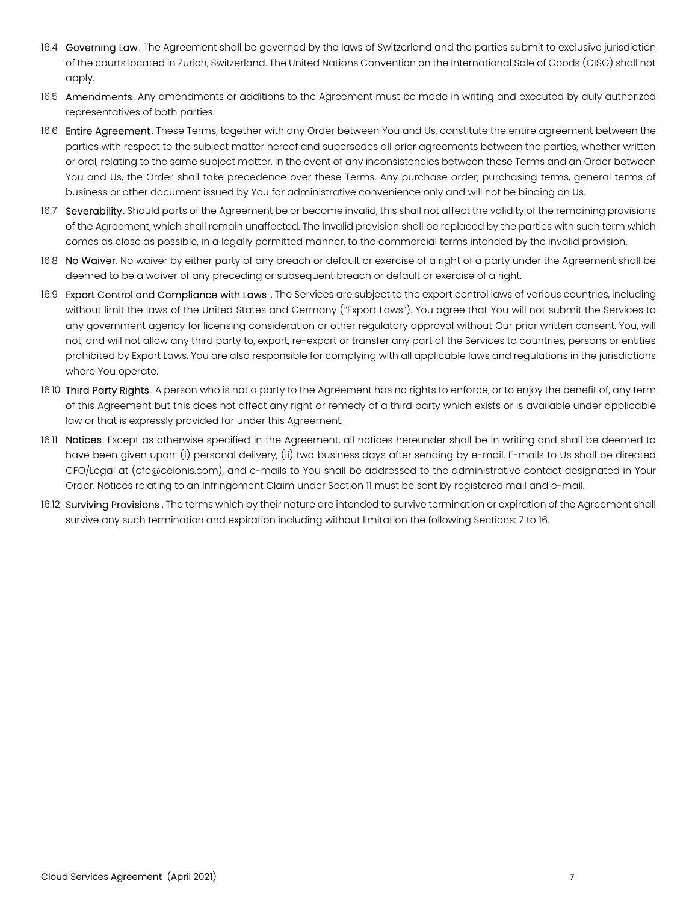- 16.4 Governing Law. The Agreement shall be governed by the laws of Switzerland and the parties submit to exclusive jurisdiction of the courts located in Zurich, Switzerland. The United Nations Convention on the International Sale of Goods (CISG) shall not apply.
- 16.5 Amendments. Any amendments or additions to the Agreement must be made in writing and executed by duly authorized representatives of both parties.
- 16.6 Entire Agreement. These Terms, together with any Order between You and Us, constitute the entire agreement between the parties with respect to the subject matter hereof and supersedes all prior agreements between the parties, whether written or oral, relating to the same subject matter. In the event of any inconsistencies between these Terms and an Order between You and Us, the Order shall take precedence over these Terms. Any purchase order, purchasing terms, general terms of business or other document issued by You for administrative convenience only and will not be binding on Us.
- 16.7 Severability. Should parts of the Agreement be or become invalid, this shall not affect the validity of the remaining provisions of the Agreement, which shall remain unaffected. The invalid provision shall be replaced by the parties with such term which comes as close as possible, in a legally permitted manner, to the commercial terms intended by the invalid provision.
- 16.8 No Waiver. No waiver by either party of any breach or default or exercise of a right of a party under the Agreement shall be deemed to be a waiver of any preceding or subsequent breach or default or exercise of a right.
- 16.9 Export Control and Compliance with Laws . The Services are subject to the export control laws of various countries, including without limit the laws of the United States and Germany ("Export Laws"). You agree that You will not submit the Services to any government agency for licensing consideration or other regulatory approval without Our prior written consent. You, will not, and will not allow any third party to, export, re-export or transfer any part of the Services to countries, persons or entities prohibited by Export Laws. You are also responsible for complying with all applicable laws and regulations in the jurisdictions where You operate.
- 16.10 Third Party Rights. A person who is not a party to the Agreement has no rights to enforce, or to enjoy the benefit of, any term of this Agreement but this does not affect any right or remedy of a third party which exists or is available under applicable law or that is expressly provided for under this Agreement.
- 16.11 Notices. Except as otherwise specified in the Agreement, all notices hereunder shall be in writing and shall be deemed to have been given upon: (i) personal delivery, (ii) two business days after sending by e-mail. E-mails to Us shall be directed CFO/Legal at (cfo@celonis.com), and e-mails to You shall be addressed to the administrative contact designated in Your Order. Notices relating to an Infringement Claim under Section 11 must be sent by registered mail and e-mail.
- 16.12 Surviving Provisions. The terms which by their nature are intended to survive termination or expiration of the Agreement shall survive any such termination and expiration including without limitation the following Sections: 7 to 16.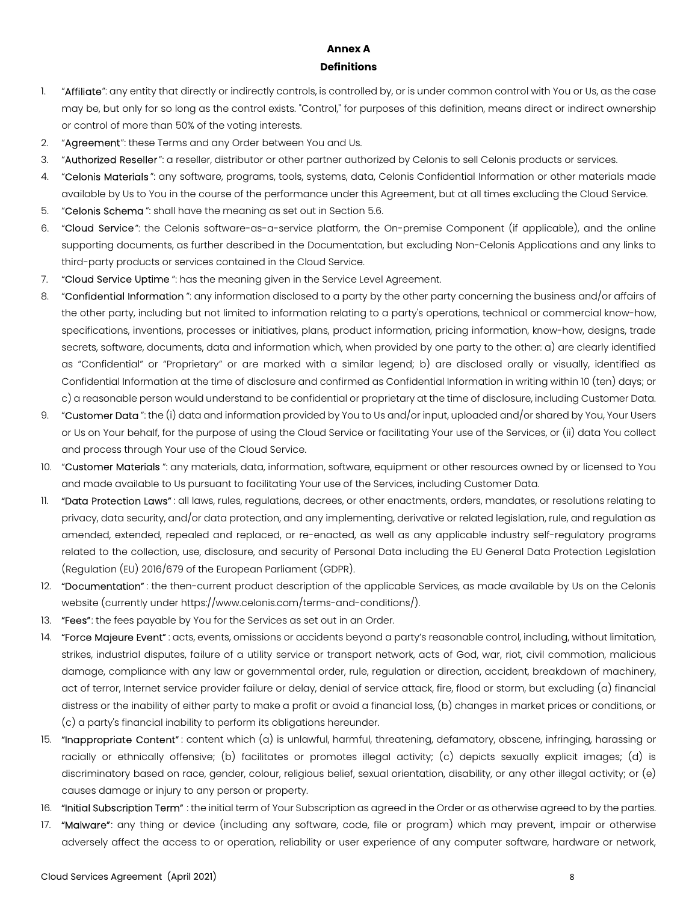# Annex A **Definitions**

- 1. "Affiliate": any entity that directly or indirectly controls, is controlled by, or is under common control with You or Us, as the case may be, but only for so long as the control exists. "Control," for purposes of this definition, means direct or indirect ownership or control of more than 50% of the voting interests.
- 2. "Agreement": these Terms and any Order between You and Us.
- 3. "Authorized Reseller": a reseller, distributor or other partner authorized by Celonis to sell Celonis products or services.
- 4. "Celonis Materials": any software, programs, tools, systems, data, Celonis Confidential Information or other materials made available by Us to You in the course of the performance under this Agreement, but at all times excluding the Cloud Service.
- 5. "Celonis Schema": shall have the meaning as set out in Section 5.6.
- 6. "Cloud Service": the Celonis software-as-a-service platform, the On-premise Component (if applicable), and the online supporting documents, as further described in the Documentation, but excluding Non-Celonis Applications and any links to third-party products or services contained in the Cloud Service.
- 7. "Cloud Service Uptime": has the meaning given in the Service Level Agreement.
- 8. "Confidential Information": any information disclosed to a party by the other party concerning the business and/or affairs of the other party, including but not limited to information relating to a party's operations, technical or commercial know-how, specifications, inventions, processes or initiatives, plans, product information, pricing information, know-how, designs, trade secrets, software, documents, data and information which, when provided by one party to the other: a) are clearly identified as "Confidential" or "Proprietary" or are marked with a similar legend; b) are disclosed orally or visually, identified as Confidential Information at the time of disclosure and confirmed as Confidential Information in writing within 10 (ten) days; or c) a reasonable person would understand to be confidential or proprietary at the time of disclosure, including Customer Data.
- 9. "Customer Data": the (i) data and information provided by You to Us and/or input, uploaded and/or shared by You, Your Users or Us on Your behalf, for the purpose of using the Cloud Service or facilitating Your use of the Services, or (ii) data You collect and process through Your use of the Cloud Service.
- 10. "Customer Materials": any materials, data, information, software, equipment or other resources owned by or licensed to You and made available to Us pursuant to facilitating Your use of the Services, including Customer Data.
- 11. "Data Protection Laws": all laws, rules, regulations, decrees, or other enactments, orders, mandates, or resolutions relating to privacy, data security, and/or data protection, and any implementing, derivative or related legislation, rule, and regulation as amended, extended, repealed and replaced, or re-enacted, as well as any applicable industry self-regulatory programs related to the collection, use, disclosure, and security of Personal Data including the EU General Data Protection Legislation (Regulation (EU) 2016/679 of the European Parliament (GDPR).
- 12. "Documentation": the then-current product description of the applicable Services, as made available by Us on the Celonis website (currently under https://www.celonis.com/terms-and-conditions/).
- 13. "Fees": the fees payable by You for the Services as set out in an Order.
- 14. "Force Majeure Event": acts, events, omissions or accidents beyond a party's reasonable control, including, without limitation, strikes, industrial disputes, failure of a utility service or transport network, acts of God, war, riot, civil commotion, malicious damage, compliance with any law or governmental order, rule, regulation or direction, accident, breakdown of machinery, act of terror, Internet service provider failure or delay, denial of service attack, fire, flood or storm, but excluding (a) financial distress or the inability of either party to make a profit or avoid a financial loss, (b) changes in market prices or conditions, or (c) a party's financial inability to perform its obligations hereunder.
- 15. "Inappropriate Content": content which (a) is unlawful, harmful, threatening, defamatory, obscene, infringing, harassing or racially or ethnically offensive; (b) facilitates or promotes illegal activity; (c) depicts sexually explicit images; (d) is discriminatory based on race, gender, colour, religious belief, sexual orientation, disability, or any other illegal activity; or (e) causes damage or injury to any person or property.
- 16. "Initial Subscription Term" : the initial term of Your Subscription as agreed in the Order or as otherwise agreed to by the parties.
- 17. "Malware": any thing or device (including any software, code, file or program) which may prevent, impair or otherwise adversely affect the access to or operation, reliability or user experience of any computer software, hardware or network,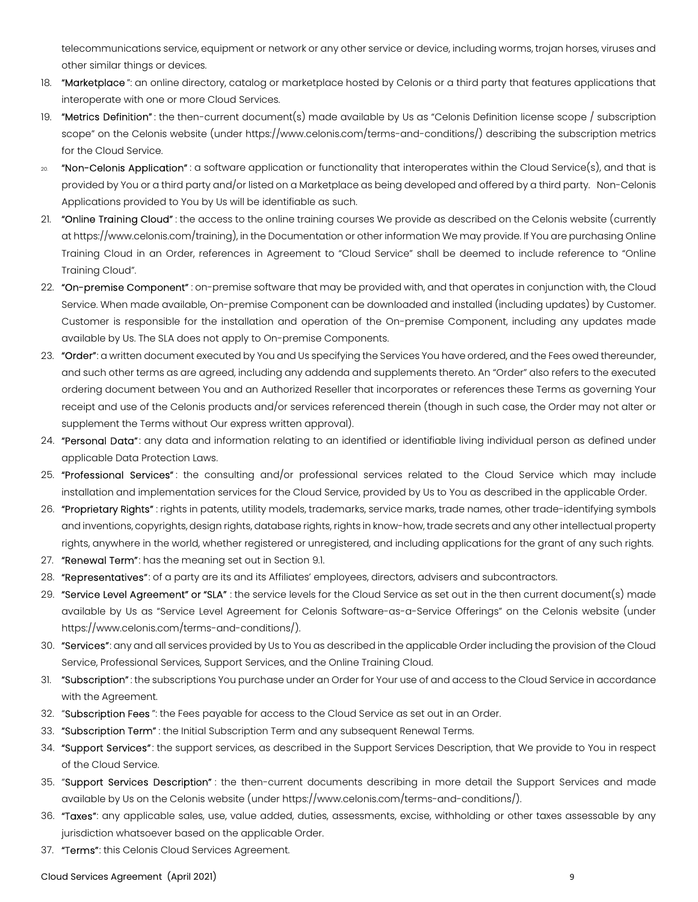telecommunications service, equipment or network or any other service or device, including worms, trojan horses, viruses and other similar things or devices.

- 18. "Marketplace": an online directory, catalog or marketplace hosted by Celonis or a third party that features applications that interoperate with one or more Cloud Services.
- 19. "Metrics Definition": the then-current document(s) made available by Us as "Celonis Definition license scope / subscription scope" on the Celonis website (under https://www.celonis.com/terms-and-conditions/) describing the subscription metrics for the Cloud Service.
- <sup>20.</sup> "Non-Celonis Application": a software application or functionality that interoperates within the Cloud Service(s), and that is provided by You or a third party and/or listed on a Marketplace as being developed and offered by a third party. Non-Celonis Applications provided to You by Us will be identifiable as such.
- 21. "Online Training Cloud": the access to the online training courses We provide as described on the Celonis website (currently at https://www.celonis.com/training), in the Documentation or other information We may provide. If You are purchasing Online Training Cloud in an Order, references in Agreement to "Cloud Service" shall be deemed to include reference to "Online Training Cloud".
- 22. "On-premise Component" : on-premise software that may be provided with, and that operates in conjunction with, the Cloud Service. When made available, On-premise Component can be downloaded and installed (including updates) by Customer. Customer is responsible for the installation and operation of the On-premise Component, including any updates made available by Us. The SLA does not apply to On-premise Components.
- 23. "Order": a written document executed by You and Us specifying the Services You have ordered, and the Fees owed thereunder, and such other terms as are agreed, including any addenda and supplements thereto. An "Order" also refers to the executed ordering document between You and an Authorized Reseller that incorporates or references these Terms as governing Your receipt and use of the Celonis products and/or services referenced therein (though in such case, the Order may not alter or supplement the Terms without Our express written approval).
- 24. "Personal Data": any data and information relating to an identified or identifiable living individual person as defined under applicable Data Protection Laws.
- 25. "Professional Services": the consulting and/or professional services related to the Cloud Service which may include installation and implementation services for the Cloud Service, provided by Us to You as described in the applicable Order.
- 26. "Proprietary Rights": rights in patents, utility models, trademarks, service marks, trade names, other trade-identifying symbols and inventions, copyrights, design rights, database rights, rights in know-how, trade secrets and any other intellectual property rights, anywhere in the world, whether registered or unregistered, and including applications for the grant of any such rights.
- 27. "Renewal Term": has the meaning set out in Section 9.1.
- 28. "Representatives": of a party are its and its Affiliates' employees, directors, advisers and subcontractors.
- 29. "Service Level Agreement" or "SLA" : the service levels for the Cloud Service as set out in the then current document(s) made available by Us as "Service Level Agreement for Celonis Software-as-a-Service Offerings" on the Celonis website (under https://www.celonis.com/terms-and-conditions/).
- 30. "Services": any and all services provided by Us to You as described in the applicable Order including the provision of the Cloud Service, Professional Services, Support Services, and the Online Training Cloud.
- 31. "Subscription": the subscriptions You purchase under an Order for Your use of and access to the Cloud Service in accordance with the Agreement.
- 32. "Subscription Fees ": the Fees payable for access to the Cloud Service as set out in an Order.
- 33. "Subscription Term": the Initial Subscription Term and any subsequent Renewal Terms.
- 34. "Support Services": the support services, as described in the Support Services Description, that We provide to You in respect of the Cloud Service.
- 35. "Support Services Description": the then-current documents describing in more detail the Support Services and made available by Us on the Celonis website (under https://www.celonis.com/terms-and-conditions/).
- 36. "Taxes": any applicable sales, use, value added, duties, assessments, excise, withholding or other taxes assessable by any jurisdiction whatsoever based on the applicable Order.
- 37. "Terms": this Celonis Cloud Services Agreement.

Cloud Services Agreement (April 2021) 9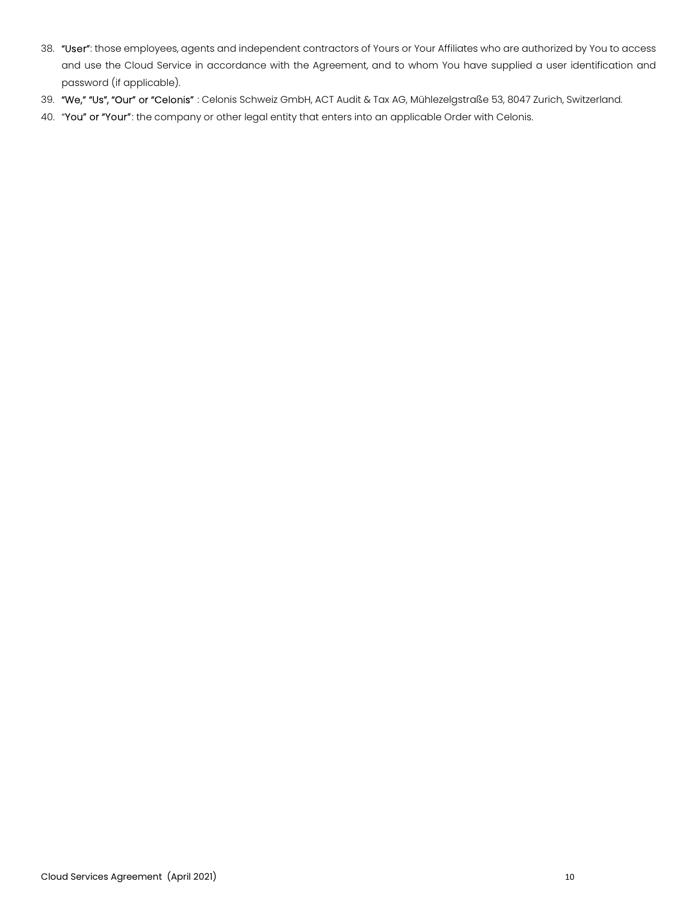- 38. "User": those employees, agents and independent contractors of Yours or Your Affiliates who are authorized by You to access and use the Cloud Service in accordance with the Agreement, and to whom You have supplied a user identification and password (if applicable).
- 39. "We," "Us", "Our" or "Celonis" : Celonis Schweiz GmbH, ACT Audit & Tax AG, Mühlezelgstraße 53, 8047 Zurich, Switzerland.
- 40. "You" or "Your": the company or other legal entity that enters into an applicable Order with Celonis.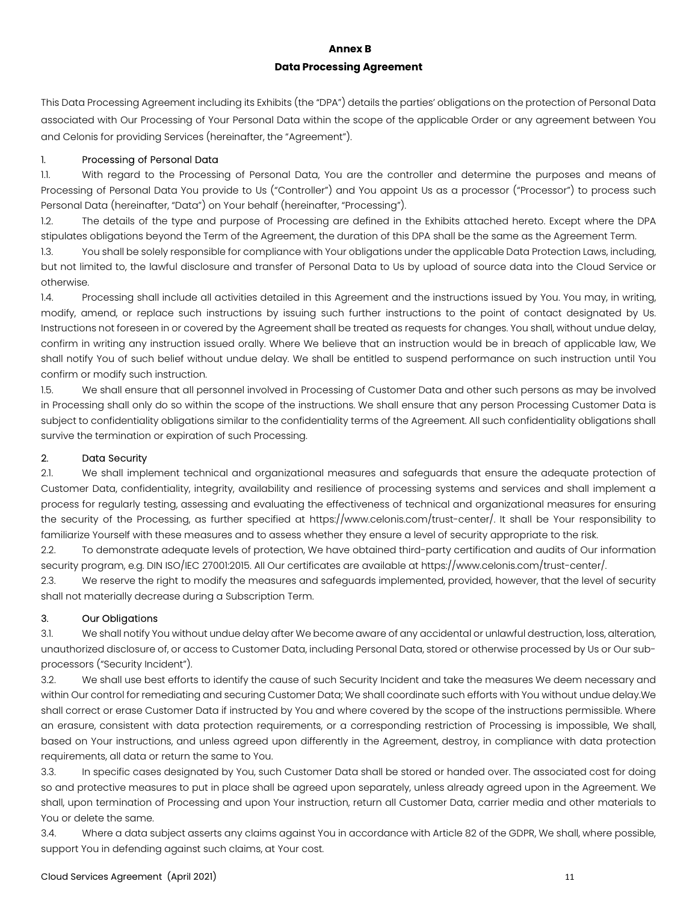# Annex B Data Processing Agreement

This Data Processing Agreement including its Exhibits (the "DPA") details the parties' obligations on the protection of Personal Data associated with Our Processing of Your Personal Data within the scope of the applicable Order or any agreement between You and Celonis for providing Services (hereinafter, the "Agreement").

# 1. Processing of Personal Data

1.1. With regard to the Processing of Personal Data, You are the controller and determine the purposes and means of Processing of Personal Data You provide to Us ("Controller") and You appoint Us as a processor ("Processor") to process such Personal Data (hereinafter, "Data") on Your behalf (hereinafter, "Processing").

1.2. The details of the type and purpose of Processing are defined in the Exhibits attached hereto. Except where the DPA stipulates obligations beyond the Term of the Agreement, the duration of this DPA shall be the same as the Agreement Term.

1.3. You shall be solely responsible for compliance with Your obligations under the applicable Data Protection Laws, including, but not limited to, the lawful disclosure and transfer of Personal Data to Us by upload of source data into the Cloud Service or otherwise.

1.4. Processing shall include all activities detailed in this Agreement and the instructions issued by You. You may, in writing, modify, amend, or replace such instructions by issuing such further instructions to the point of contact designated by Us. Instructions not foreseen in or covered by the Agreement shall be treated as requests for changes. You shall, without undue delay, confirm in writing any instruction issued orally. Where We believe that an instruction would be in breach of applicable law, We shall notify You of such belief without undue delay. We shall be entitled to suspend performance on such instruction until You confirm or modify such instruction.

1.5. We shall ensure that all personnel involved in Processing of Customer Data and other such persons as may be involved in Processing shall only do so within the scope of the instructions. We shall ensure that any person Processing Customer Data is subject to confidentiality obligations similar to the confidentiality terms of the Agreement. All such confidentiality obligations shall survive the termination or expiration of such Processing.

# 2. Data Security

2.1. We shall implement technical and organizational measures and safeguards that ensure the adequate protection of Customer Data, confidentiality, integrity, availability and resilience of processing systems and services and shall implement a process for regularly testing, assessing and evaluating the effectiveness of technical and organizational measures for ensuring the security of the Processing, as further specified at https://www.celonis.com/trust-center/. It shall be Your responsibility to familiarize Yourself with these measures and to assess whether they ensure a level of security appropriate to the risk.

2.2. To demonstrate adequate levels of protection, We have obtained third-party certification and audits of Our information security program, e.g. DIN ISO/IEC 27001:2015. All Our certificates are available at https://www.celonis.com/trust-center/.

2.3. We reserve the right to modify the measures and safeguards implemented, provided, however, that the level of security shall not materially decrease during a Subscription Term.

# 3. Our Obligations

3.1. We shall notify You without undue delay after We become aware of any accidental or unlawful destruction, loss, alteration, unauthorized disclosure of, or access to Customer Data, including Personal Data, stored or otherwise processed by Us or Our subprocessors ("Security Incident").

3.2. We shall use best efforts to identify the cause of such Security Incident and take the measures We deem necessary and within Our control for remediating and securing Customer Data; We shall coordinate such efforts with You without undue delay.We shall correct or erase Customer Data if instructed by You and where covered by the scope of the instructions permissible. Where an erasure, consistent with data protection requirements, or a corresponding restriction of Processing is impossible, We shall, based on Your instructions, and unless agreed upon differently in the Agreement, destroy, in compliance with data protection requirements, all data or return the same to You.

3.3. In specific cases designated by You, such Customer Data shall be stored or handed over. The associated cost for doing so and protective measures to put in place shall be agreed upon separately, unless already agreed upon in the Agreement. We shall, upon termination of Processing and upon Your instruction, return all Customer Data, carrier media and other materials to You or delete the same.

3.4. Where a data subject asserts any claims against You in accordance with Article 82 of the GDPR, We shall, where possible, support You in defending against such claims, at Your cost.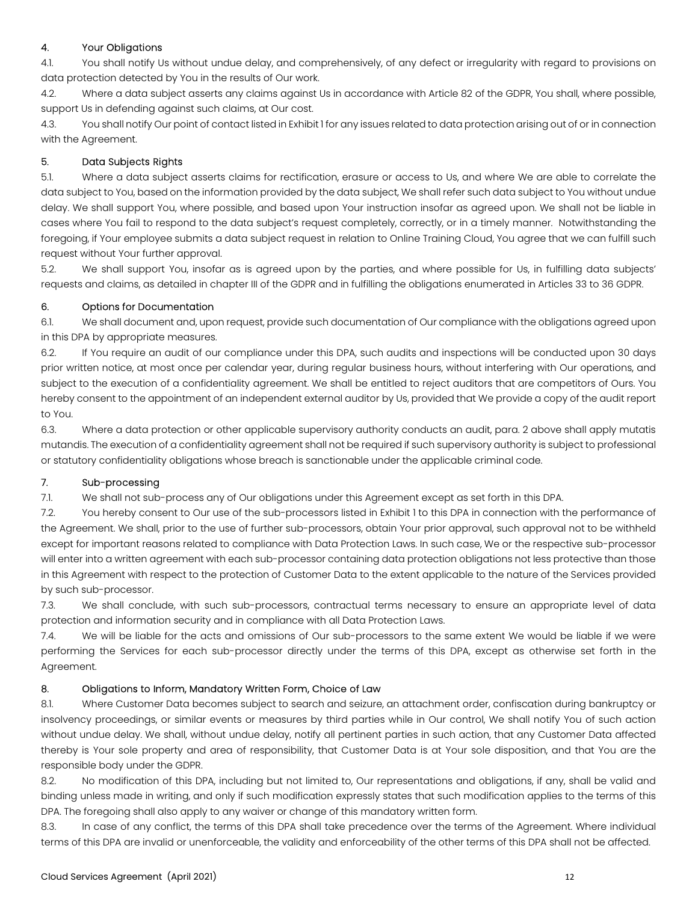# 4. Your Obligations

4.1. You shall notify Us without undue delay, and comprehensively, of any defect or irregularity with regard to provisions on data protection detected by You in the results of Our work.

4.2. Where a data subject asserts any claims against Us in accordance with Article 82 of the GDPR, You shall, where possible, support Us in defending against such claims, at Our cost.

4.3. You shall notify Our point of contact listed in Exhibit 1 for any issues related to data protection arising out of or in connection with the Agreement.

# 5. Data Subjects Rights

5.1. Where a data subject asserts claims for rectification, erasure or access to Us, and where We are able to correlate the data subject to You, based on the information provided by the data subject, We shall refer such data subject to You without undue delay. We shall support You, where possible, and based upon Your instruction insofar as agreed upon. We shall not be liable in cases where You fail to respond to the data subject's request completely, correctly, or in a timely manner. Notwithstanding the foregoing, if Your employee submits a data subject request in relation to Online Training Cloud, You agree that we can fulfill such request without Your further approval.

5.2. We shall support You, insofar as is agreed upon by the parties, and where possible for Us, in fulfilling data subjects' requests and claims, as detailed in chapter III of the GDPR and in fulfilling the obligations enumerated in Articles 33 to 36 GDPR.

# 6. Options for Documentation

6.1. We shall document and, upon request, provide such documentation of Our compliance with the obligations agreed upon in this DPA by appropriate measures.

6.2. If You require an audit of our compliance under this DPA, such audits and inspections will be conducted upon 30 days prior written notice, at most once per calendar year, during regular business hours, without interfering with Our operations, and subject to the execution of a confidentiality agreement. We shall be entitled to reject auditors that are competitors of Ours. You hereby consent to the appointment of an independent external auditor by Us, provided that We provide a copy of the audit report to You.

6.3. Where a data protection or other applicable supervisory authority conducts an audit, para. 2 above shall apply mutatis mutandis. The execution of a confidentiality agreement shall not be required if such supervisory authority is subject to professional or statutory confidentiality obligations whose breach is sanctionable under the applicable criminal code.

# 7. Sub-processing

7.1. We shall not sub-process any of Our obligations under this Agreement except as set forth in this DPA.

7.2. You hereby consent to Our use of the sub-processors listed in Exhibit 1 to this DPA in connection with the performance of the Agreement. We shall, prior to the use of further sub-processors, obtain Your prior approval, such approval not to be withheld except for important reasons related to compliance with Data Protection Laws. In such case, We or the respective sub-processor will enter into a written agreement with each sub-processor containing data protection obligations not less protective than those in this Agreement with respect to the protection of Customer Data to the extent applicable to the nature of the Services provided by such sub-processor.

7.3. We shall conclude, with such sub-processors, contractual terms necessary to ensure an appropriate level of data protection and information security and in compliance with all Data Protection Laws.

7.4. We will be liable for the acts and omissions of Our sub-processors to the same extent We would be liable if we were performing the Services for each sub-processor directly under the terms of this DPA, except as otherwise set forth in the Agreement.

# 8. Obligations to Inform, Mandatory Written Form, Choice of Law

8.1. Where Customer Data becomes subject to search and seizure, an attachment order, confiscation during bankruptcy or insolvency proceedings, or similar events or measures by third parties while in Our control, We shall notify You of such action without undue delay. We shall, without undue delay, notify all pertinent parties in such action, that any Customer Data affected thereby is Your sole property and area of responsibility, that Customer Data is at Your sole disposition, and that You are the responsible body under the GDPR.

8.2. No modification of this DPA, including but not limited to, Our representations and obligations, if any, shall be valid and binding unless made in writing, and only if such modification expressly states that such modification applies to the terms of this DPA. The foregoing shall also apply to any waiver or change of this mandatory written form.

8.3. In case of any conflict, the terms of this DPA shall take precedence over the terms of the Agreement. Where individual terms of this DPA are invalid or unenforceable, the validity and enforceability of the other terms of this DPA shall not be affected.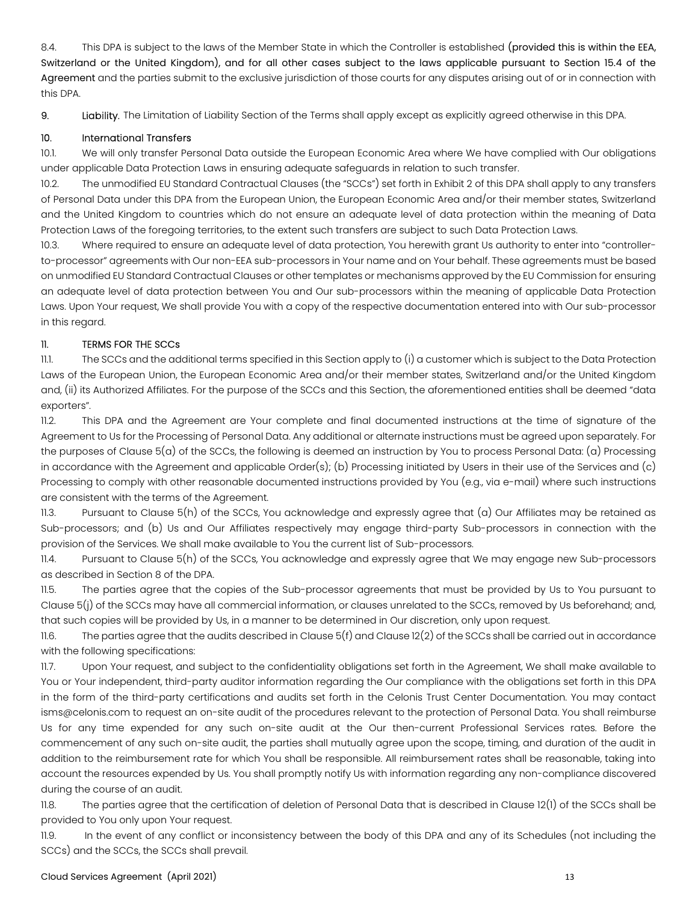8.4. This DPA is subject to the laws of the Member State in which the Controller is established (provided this is within the EEA, Switzerland or the United Kingdom), and for all other cases subject to the laws applicable pursuant to Section 15.4 of the Agreement and the parties submit to the exclusive jurisdiction of those courts for any disputes arising out of or in connection with this DPA.

9. Liability. The Limitation of Liability Section of the Terms shall apply except as explicitly agreed otherwise in this DPA.

# 10. International Transfers

10.1. We will only transfer Personal Data outside the European Economic Area where We have complied with Our obligations under applicable Data Protection Laws in ensuring adequate safeguards in relation to such transfer.

10.2. The unmodified EU Standard Contractual Clauses (the "SCCs") set forth in Exhibit 2 of this DPA shall apply to any transfers of Personal Data under this DPA from the European Union, the European Economic Area and/or their member states, Switzerland and the United Kingdom to countries which do not ensure an adequate level of data protection within the meaning of Data Protection Laws of the foregoing territories, to the extent such transfers are subject to such Data Protection Laws.

10.3. Where required to ensure an adequate level of data protection, You herewith grant Us authority to enter into "controllerto-processor" agreements with Our non-EEA sub-processors in Your name and on Your behalf. These agreements must be based on unmodified EU Standard Contractual Clauses or other templates or mechanisms approved by the EU Commission for ensuring an adequate level of data protection between You and Our sub-processors within the meaning of applicable Data Protection Laws. Upon Your request, We shall provide You with a copy of the respective documentation entered into with Our sub-processor in this regard.

# 11. TERMS FOR THE SCCs

11.1. The SCCs and the additional terms specified in this Section apply to (i) a customer which is subject to the Data Protection Laws of the European Union, the European Economic Area and/or their member states, Switzerland and/or the United Kingdom and, (ii) its Authorized Affiliates. For the purpose of the SCCs and this Section, the aforementioned entities shall be deemed "data exporters".

11.2. This DPA and the Agreement are Your complete and final documented instructions at the time of signature of the Agreement to Us for the Processing of Personal Data. Any additional or alternate instructions must be agreed upon separately. For the purposes of Clause 5(a) of the SCCs, the following is deemed an instruction by You to process Personal Data: (a) Processing in accordance with the Agreement and applicable Order(s); (b) Processing initiated by Users in their use of the Services and (c) Processing to comply with other reasonable documented instructions provided by You (e.g., via e-mail) where such instructions are consistent with the terms of the Agreement.

11.3. Pursuant to Clause 5(h) of the SCCs, You acknowledge and expressly agree that (a) Our Affiliates may be retained as Sub-processors; and (b) Us and Our Affiliates respectively may engage third-party Sub-processors in connection with the provision of the Services. We shall make available to You the current list of Sub-processors.

11.4. Pursuant to Clause 5(h) of the SCCs, You acknowledge and expressly agree that We may engage new Sub-processors as described in Section 8 of the DPA.

11.5. The parties agree that the copies of the Sub-processor agreements that must be provided by Us to You pursuant to Clause 5(j) of the SCCs may have all commercial information, or clauses unrelated to the SCCs, removed by Us beforehand; and, that such copies will be provided by Us, in a manner to be determined in Our discretion, only upon request.

11.6. The parties agree that the audits described in Clause  $5(f)$  and Clause 12(2) of the SCCs shall be carried out in accordance with the following specifications:

11.7. Upon Your request, and subject to the confidentiality obligations set forth in the Agreement, We shall make available to You or Your independent, third-party auditor information regarding the Our compliance with the obligations set forth in this DPA in the form of the third-party certifications and audits set forth in the Celonis Trust Center Documentation. You may contact isms@celonis.com to request an on-site audit of the procedures relevant to the protection of Personal Data. You shall reimburse Us for any time expended for any such on-site audit at the Our then-current Professional Services rates. Before the commencement of any such on-site audit, the parties shall mutually agree upon the scope, timing, and duration of the audit in addition to the reimbursement rate for which You shall be responsible. All reimbursement rates shall be reasonable, taking into account the resources expended by Us. You shall promptly notify Us with information regarding any non-compliance discovered during the course of an audit.

11.8. The parties agree that the certification of deletion of Personal Data that is described in Clause 12(1) of the SCCs shall be provided to You only upon Your request.

11.9. In the event of any conflict or inconsistency between the body of this DPA and any of its Schedules (not including the SCCs) and the SCCs, the SCCs shall prevail.

# Cloud Services Agreement (April 2021) 13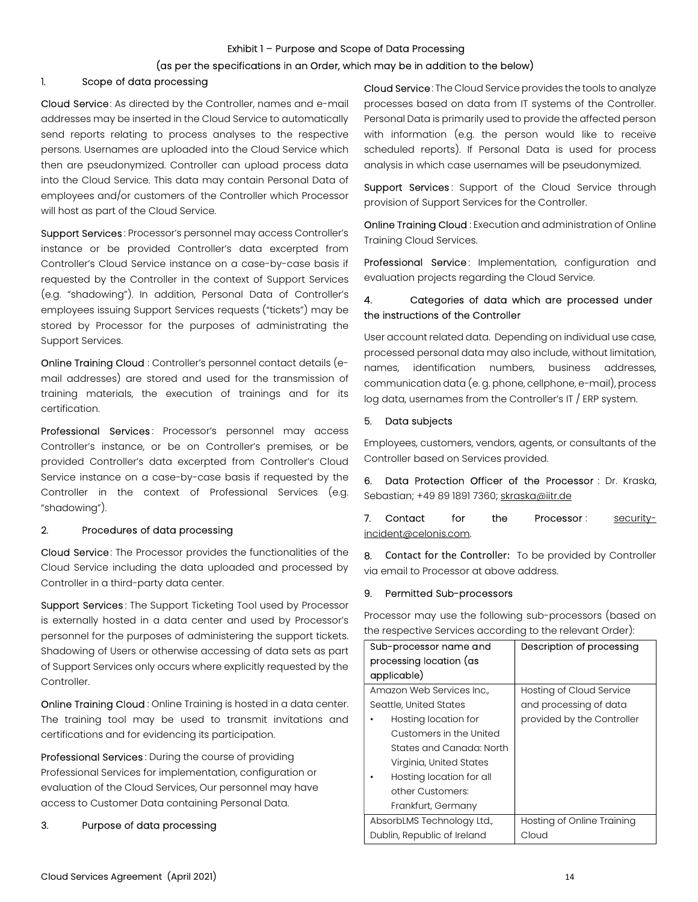### Exhibit 1 – Purpose and Scope of Data Processing

### (as per the specifications in an Order, which may be in addition to the below)

### 1. Scope of data processing

Cloud Service: As directed by the Controller, names and e-mail addresses may be inserted in the Cloud Service to automatically send reports relating to process analyses to the respective persons. Usernames are uploaded into the Cloud Service which then are pseudonymized. Controller can upload process data into the Cloud Service. This data may contain Personal Data of employees and/or customers of the Controller which Processor will host as part of the Cloud Service.

Support Services : Processor's personnel may access Controller's instance or be provided Controller's data excerpted from Controller's Cloud Service instance on a case-by-case basis if requested by the Controller in the context of Support Services (e.g. "shadowing"). In addition, Personal Data of Controller's employees issuing Support Services requests ("tickets") may be stored by Processor for the purposes of administrating the Support Services.

Online Training Cloud : Controller's personnel contact details (email addresses) are stored and used for the transmission of training materials, the execution of trainings and for its certification.

Professional Services: Processor's personnel may access Controller's instance, or be on Controller's premises, or be provided Controller's data excerpted from Controller's Cloud Service instance on a case-by-case basis if requested by the Controller in the context of Professional Services (e.g. "shadowing").

### 2. Procedures of data processing

Cloud Service: The Processor provides the functionalities of the Cloud Service including the data uploaded and processed by Controller in a third-party data center.

Support Services: The Support Ticketing Tool used by Processor is externally hosted in a data center and used by Processor's personnel for the purposes of administering the support tickets. Shadowing of Users or otherwise accessing of data sets as part of Support Services only occurs where explicitly requested by the Controller.

Online Training Cloud : Online Training is hosted in a data center. The training tool may be used to transmit invitations and certifications and for evidencing its participation.

Professional Services : During the course of providing Professional Services for implementation, configuration or evaluation of the Cloud Services, Our personnel may have access to Customer Data containing Personal Data.

### 3. Purpose of data processing

Cloud Service: The Cloud Service provides the tools to analyze processes based on data from IT systems of the Controller. Personal Data is primarily used to provide the affected person with information (e.g. the person would like to receive scheduled reports). If Personal Data is used for process analysis in which case usernames will be pseudonymized.

Support Services: Support of the Cloud Service through provision of Support Services for the Controller.

Online Training Cloud : Execution and administration of Online Training Cloud Services.

Professional Service: Implementation, configuration and evaluation projects regarding the Cloud Service.

# 4. Categories of data which are processed under the instructions of the Controller

User account related data. Depending on individual use case, processed personal data may also include, without limitation, names, identification numbers, business addresses, communication data (e. g. phone, cellphone, e-mail), process log data, usernames from the Controller's IT / ERP system.

#### 5. Data subjects

Employees, customers, vendors, agents, or consultants of the Controller based on Services provided.

6. Data Protection Officer of the Processor : Dr. Kraska, Sebastian; +49 89 1891 7360; skraska@iitr.de

7. Contact for the Processor: securityincident@celonis.com.

8. Contact for the Controller: To be provided by Controller via email to Processor at above address.

#### 9. Permitted Sub-processors

Processor may use the following sub-processors (based on the respective Services according to the relevant Order):

| Sub-processor name and      | Description of processing  |
|-----------------------------|----------------------------|
| processing location (as     |                            |
| applicable)                 |                            |
| Amazon Web Services Inc.    | Hosting of Cloud Service   |
| Seattle, United States      | and processing of data     |
| Hosting location for        | provided by the Controller |
| Customers in the United     |                            |
| States and Canada: North    |                            |
| Virginia, United States     |                            |
| Hosting location for all    |                            |
| other Customers:            |                            |
| Frankfurt, Germany          |                            |
| AbsorbLMS Technology Ltd.,  | Hosting of Online Training |
| Dublin, Republic of Ireland | Cloud                      |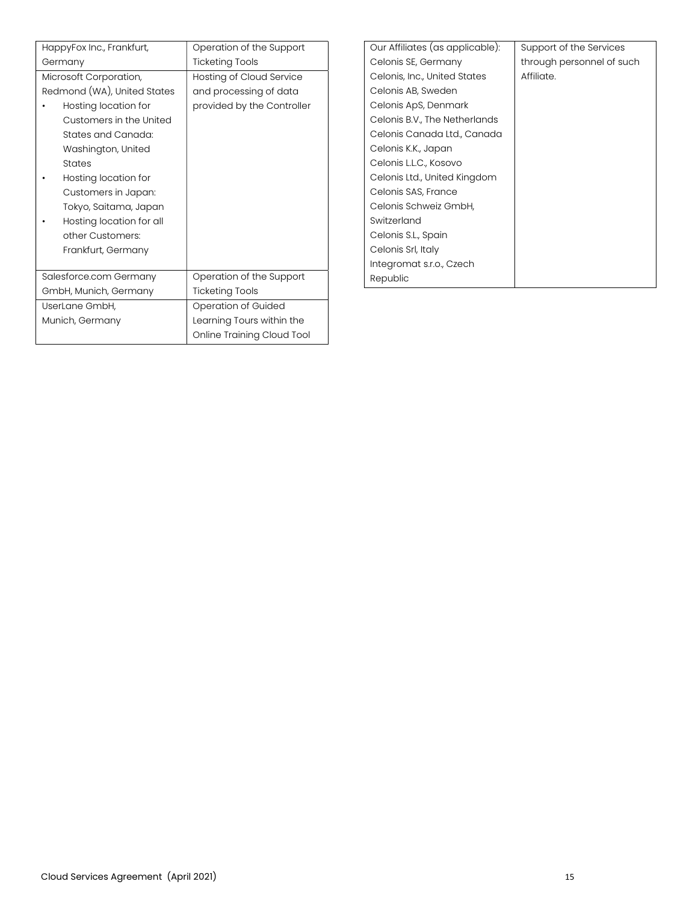|                                         | HappyFox Inc., Frankfurt,   | Operation of the Support   | Oι  |
|-----------------------------------------|-----------------------------|----------------------------|-----|
|                                         | Germany                     | <b>Ticketing Tools</b>     | C   |
|                                         | Microsoft Corporation,      | Hosting of Cloud Service   | C   |
|                                         | Redmond (WA), United States | and processing of data     | C   |
|                                         | Hosting location for        | provided by the Controller | Cε  |
|                                         | Customers in the United     |                            | Cε  |
|                                         | States and Canada:          |                            | Cε  |
|                                         | Washington, United          |                            | C(  |
|                                         | <b>States</b>               |                            | Cε  |
|                                         | Hosting location for        |                            | C(  |
|                                         | Customers in Japan:         |                            | Cε  |
|                                         | Tokyo, Saitama, Japan       |                            | C(  |
|                                         | Hosting location for all    |                            | Sv  |
|                                         | other Customers:            |                            | Cε  |
|                                         | Frankfurt, Germany          |                            | Cε  |
|                                         |                             |                            | Int |
|                                         | Salesforce.com Germany      | Operation of the Support   | Re  |
| GmbH, Munich, Germany<br>UserLane GmbH, |                             | <b>Ticketing Tools</b>     |     |
|                                         |                             | Operation of Guided        |     |
|                                         | Munich, Germany             | Learning Tours within the  |     |
|                                         |                             | Online Training Cloud Tool |     |

| Our Affiliates (as applicable): | Support of the Services   |
|---------------------------------|---------------------------|
| Celonis SE, Germany             | through personnel of such |
| Celonis, Inc., United States    | Affiliate.                |
| Celonis AB, Sweden              |                           |
| Celonis ApS, Denmark            |                           |
| Celonis B.V., The Netherlands   |                           |
| Celonis Canada Ltd., Canada     |                           |
| Celonis K.K., Japan             |                           |
| Celonis L.L.C., Kosovo          |                           |
| Celonis Ltd., United Kingdom    |                           |
| Celonis SAS, France             |                           |
| Celonis Schweiz GmbH,           |                           |
| Switzerland                     |                           |
| Celonis S.L., Spain             |                           |
| Celonis Srl, Italy              |                           |
| Integromat s.r.o., Czech        |                           |
| Republic                        |                           |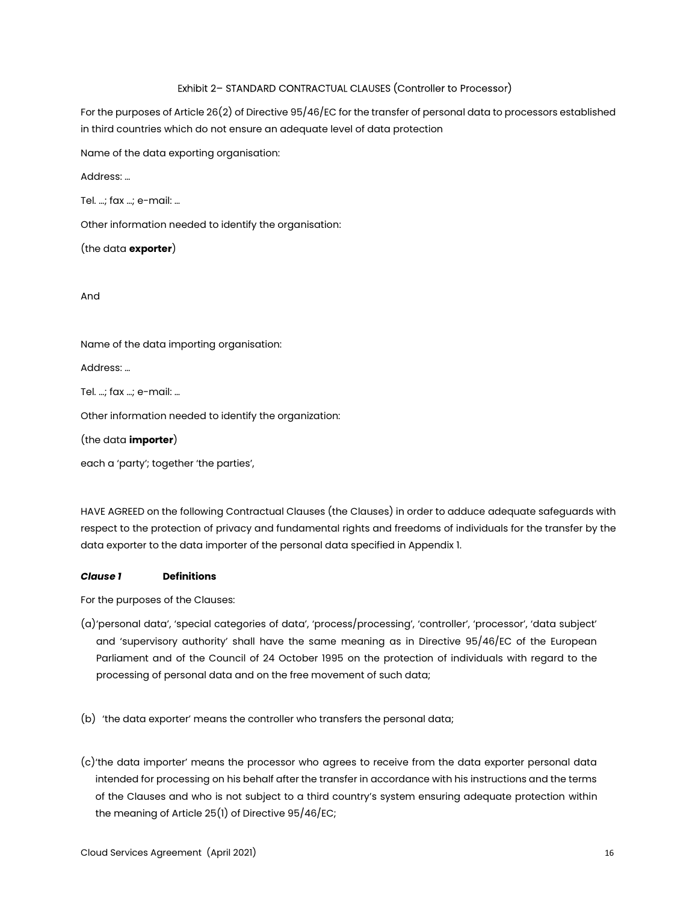# Exhibit 2– STANDARD CONTRACTUAL CLAUSES (Controller to Processor)

For the purposes of Article 26(2) of Directive 95/46/EC for the transfer of personal data to processors established in third countries which do not ensure an adequate level of data protection

Name of the data exporting organisation:

Address: …

Tel. …; fax …; e-mail: …

Other information needed to identify the organisation:

(the data exporter)

And

Name of the data importing organisation:

Address: …

Tel. …; fax …; e-mail: …

Other information needed to identify the organization:

(the data importer)

each a 'party'; together 'the parties',

HAVE AGREED on the following Contractual Clauses (the Clauses) in order to adduce adequate safeguards with respect to the protection of privacy and fundamental rights and freedoms of individuals for the transfer by the data exporter to the data importer of the personal data specified in Appendix 1.

# Clause 1 Definitions

For the purposes of the Clauses:

- (a)'personal data', 'special categories of data', 'process/processing', 'controller', 'processor', 'data subject' and 'supervisory authority' shall have the same meaning as in Directive 95/46/EC of the European Parliament and of the Council of 24 October 1995 on the protection of individuals with regard to the processing of personal data and on the free movement of such data;
- (b) 'the data exporter' means the controller who transfers the personal data;
- (c)'the data importer' means the processor who agrees to receive from the data exporter personal data intended for processing on his behalf after the transfer in accordance with his instructions and the terms of the Clauses and who is not subject to a third country's system ensuring adequate protection within the meaning of Article 25(1) of Directive 95/46/EC;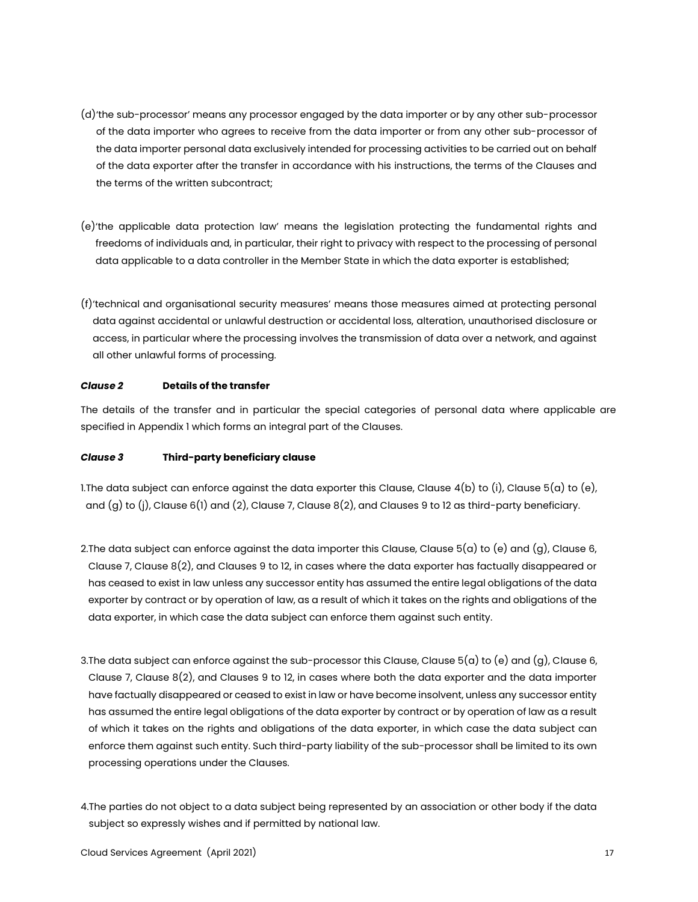- (d)'the sub-processor' means any processor engaged by the data importer or by any other sub-processor of the data importer who agrees to receive from the data importer or from any other sub-processor of the data importer personal data exclusively intended for processing activities to be carried out on behalf of the data exporter after the transfer in accordance with his instructions, the terms of the Clauses and the terms of the written subcontract;
- (e)'the applicable data protection law' means the legislation protecting the fundamental rights and freedoms of individuals and, in particular, their right to privacy with respect to the processing of personal data applicable to a data controller in the Member State in which the data exporter is established;
- (f)'technical and organisational security measures' means those measures aimed at protecting personal data against accidental or unlawful destruction or accidental loss, alteration, unauthorised disclosure or access, in particular where the processing involves the transmission of data over a network, and against all other unlawful forms of processing.

# Clause 2 Details of the transfer

The details of the transfer and in particular the special categories of personal data where applicable are specified in Appendix 1 which forms an integral part of the Clauses.

### Clause 3 Third-party beneficiary clause

1. The data subject can enforce against the data exporter this Clause, Clause  $4(b)$  to  $(i)$ , Clause  $5(a)$  to  $(e)$ , and (g) to (j), Clause 6(1) and (2), Clause 7, Clause 8(2), and Clauses 9 to 12 as third-party beneficiary.

- 2. The data subject can enforce against the data importer this Clause, Clause  $5(a)$  to (e) and (g), Clause 6, Clause 7, Clause 8(2), and Clauses 9 to 12, in cases where the data exporter has factually disappeared or has ceased to exist in law unless any successor entity has assumed the entire legal obligations of the data exporter by contract or by operation of law, as a result of which it takes on the rights and obligations of the data exporter, in which case the data subject can enforce them against such entity.
- 3.The data subject can enforce against the sub-processor this Clause, Clause 5(a) to (e) and (g), Clause 6, Clause 7, Clause 8(2), and Clauses 9 to 12, in cases where both the data exporter and the data importer have factually disappeared or ceased to exist in law or have become insolvent, unless any successor entity has assumed the entire legal obligations of the data exporter by contract or by operation of law as a result of which it takes on the rights and obligations of the data exporter, in which case the data subject can enforce them against such entity. Such third-party liability of the sub-processor shall be limited to its own processing operations under the Clauses.
- 4.The parties do not object to a data subject being represented by an association or other body if the data subject so expressly wishes and if permitted by national law.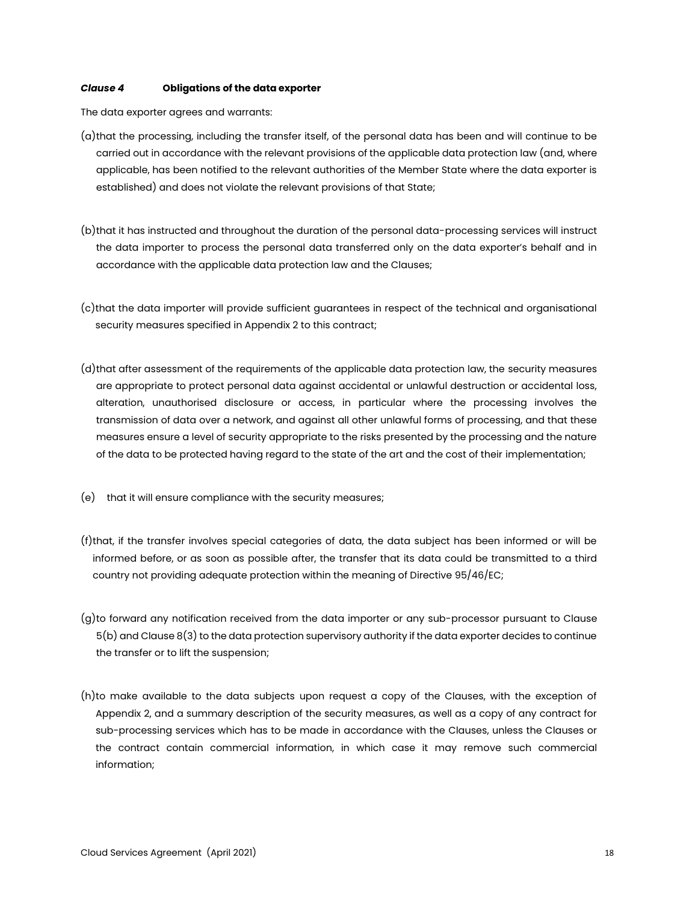### Clause 4 Obligations of the data exporter

The data exporter agrees and warrants:

- (a)that the processing, including the transfer itself, of the personal data has been and will continue to be carried out in accordance with the relevant provisions of the applicable data protection law (and, where applicable, has been notified to the relevant authorities of the Member State where the data exporter is established) and does not violate the relevant provisions of that State;
- (b)that it has instructed and throughout the duration of the personal data-processing services will instruct the data importer to process the personal data transferred only on the data exporter's behalf and in accordance with the applicable data protection law and the Clauses;
- (c)that the data importer will provide sufficient guarantees in respect of the technical and organisational security measures specified in Appendix 2 to this contract;
- (d)that after assessment of the requirements of the applicable data protection law, the security measures are appropriate to protect personal data against accidental or unlawful destruction or accidental loss, alteration, unauthorised disclosure or access, in particular where the processing involves the transmission of data over a network, and against all other unlawful forms of processing, and that these measures ensure a level of security appropriate to the risks presented by the processing and the nature of the data to be protected having regard to the state of the art and the cost of their implementation;
- (e) that it will ensure compliance with the security measures;
- (f)that, if the transfer involves special categories of data, the data subject has been informed or will be informed before, or as soon as possible after, the transfer that its data could be transmitted to a third country not providing adequate protection within the meaning of Directive 95/46/EC;
- (g)to forward any notification received from the data importer or any sub-processor pursuant to Clause 5(b) and Clause 8(3) to the data protection supervisory authority if the data exporter decides to continue the transfer or to lift the suspension;
- (h)to make available to the data subjects upon request a copy of the Clauses, with the exception of Appendix 2, and a summary description of the security measures, as well as a copy of any contract for sub-processing services which has to be made in accordance with the Clauses, unless the Clauses or the contract contain commercial information, in which case it may remove such commercial information;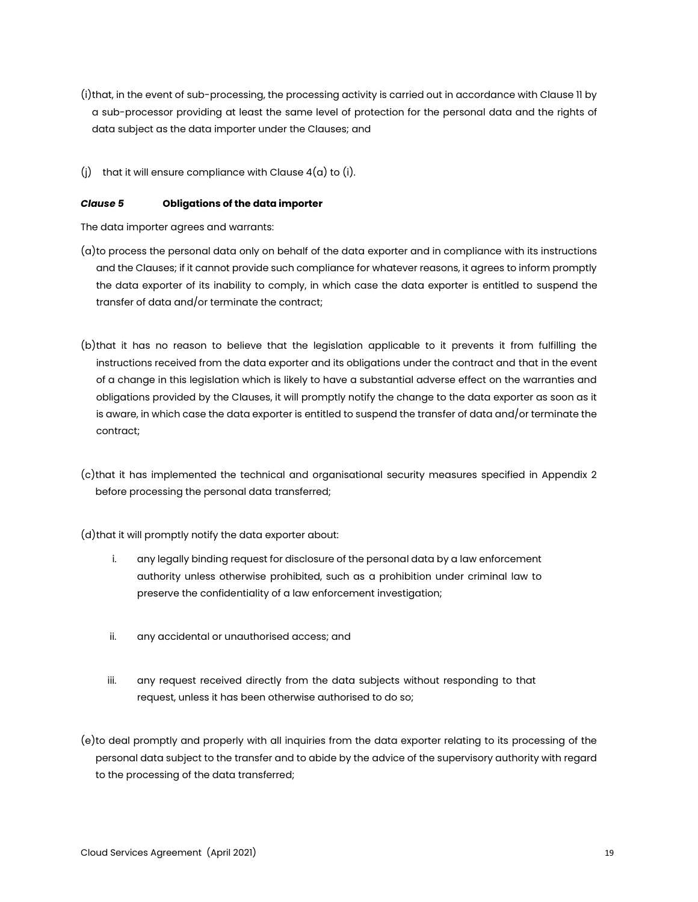- (i)that, in the event of sub-processing, the processing activity is carried out in accordance with Clause 11 by a sub-processor providing at least the same level of protection for the personal data and the rights of data subject as the data importer under the Clauses; and
- (i) that it will ensure compliance with Clause  $4(a)$  to (i).

### Clause 5 Obligations of the data importer

The data importer agrees and warrants:

- (a)to process the personal data only on behalf of the data exporter and in compliance with its instructions and the Clauses; if it cannot provide such compliance for whatever reasons, it agrees to inform promptly the data exporter of its inability to comply, in which case the data exporter is entitled to suspend the transfer of data and/or terminate the contract;
- (b)that it has no reason to believe that the legislation applicable to it prevents it from fulfilling the instructions received from the data exporter and its obligations under the contract and that in the event of a change in this legislation which is likely to have a substantial adverse effect on the warranties and obligations provided by the Clauses, it will promptly notify the change to the data exporter as soon as it is aware, in which case the data exporter is entitled to suspend the transfer of data and/or terminate the contract;
- (c)that it has implemented the technical and organisational security measures specified in Appendix 2 before processing the personal data transferred;

(d)that it will promptly notify the data exporter about:

- i. any legally binding request for disclosure of the personal data by a law enforcement authority unless otherwise prohibited, such as a prohibition under criminal law to preserve the confidentiality of a law enforcement investigation;
- ii. any accidental or unauthorised access; and
- iii. any request received directly from the data subjects without responding to that request, unless it has been otherwise authorised to do so;
- (e)to deal promptly and properly with all inquiries from the data exporter relating to its processing of the personal data subject to the transfer and to abide by the advice of the supervisory authority with regard to the processing of the data transferred;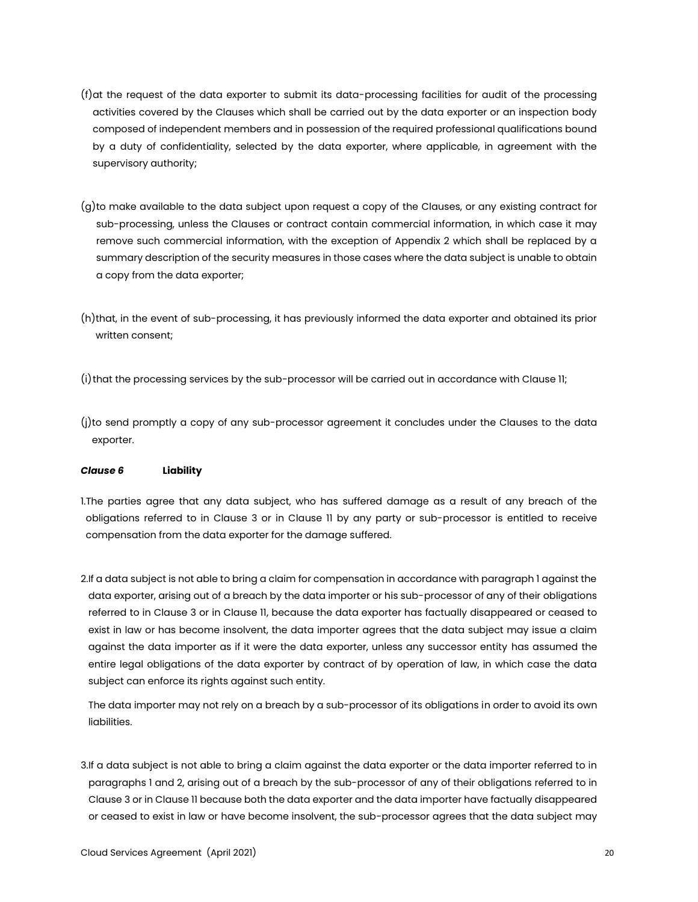- (f)at the request of the data exporter to submit its data-processing facilities for audit of the processing activities covered by the Clauses which shall be carried out by the data exporter or an inspection body composed of independent members and in possession of the required professional qualifications bound by a duty of confidentiality, selected by the data exporter, where applicable, in agreement with the supervisory authority;
- (g)to make available to the data subject upon request a copy of the Clauses, or any existing contract for sub-processing, unless the Clauses or contract contain commercial information, in which case it may remove such commercial information, with the exception of Appendix 2 which shall be replaced by a summary description of the security measures in those cases where the data subject is unable to obtain a copy from the data exporter;
- (h)that, in the event of sub-processing, it has previously informed the data exporter and obtained its prior written consent;
- (i)that the processing services by the sub-processor will be carried out in accordance with Clause 11;
- (j)to send promptly a copy of any sub-processor agreement it concludes under the Clauses to the data exporter.

### Clause 6 Liability

1.The parties agree that any data subject, who has suffered damage as a result of any breach of the obligations referred to in Clause 3 or in Clause 11 by any party or sub-processor is entitled to receive compensation from the data exporter for the damage suffered.

2.If a data subject is not able to bring a claim for compensation in accordance with paragraph 1 against the data exporter, arising out of a breach by the data importer or his sub-processor of any of their obligations referred to in Clause 3 or in Clause 11, because the data exporter has factually disappeared or ceased to exist in law or has become insolvent, the data importer agrees that the data subject may issue a claim against the data importer as if it were the data exporter, unless any successor entity has assumed the entire legal obligations of the data exporter by contract of by operation of law, in which case the data subject can enforce its rights against such entity.

The data importer may not rely on a breach by a sub-processor of its obligations in order to avoid its own liabilities.

3.If a data subject is not able to bring a claim against the data exporter or the data importer referred to in paragraphs 1 and 2, arising out of a breach by the sub-processor of any of their obligations referred to in Clause 3 or in Clause 11 because both the data exporter and the data importer have factually disappeared or ceased to exist in law or have become insolvent, the sub-processor agrees that the data subject may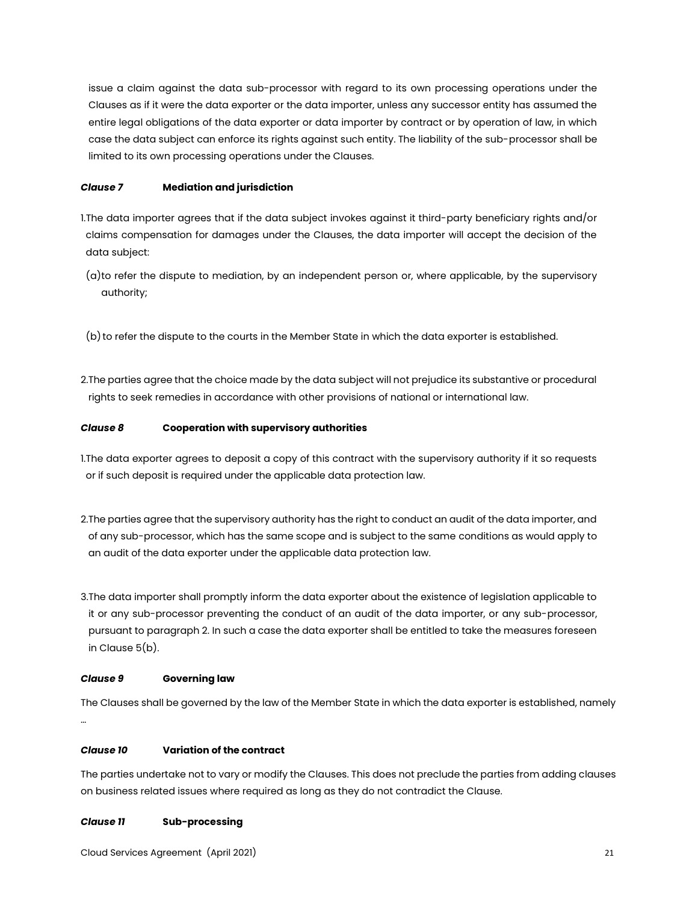issue a claim against the data sub-processor with regard to its own processing operations under the Clauses as if it were the data exporter or the data importer, unless any successor entity has assumed the entire legal obligations of the data exporter or data importer by contract or by operation of law, in which case the data subject can enforce its rights against such entity. The liability of the sub-processor shall be limited to its own processing operations under the Clauses.

# Clause 7 Mediation and jurisdiction

- 1.The data importer agrees that if the data subject invokes against it third-party beneficiary rights and/or claims compensation for damages under the Clauses, the data importer will accept the decision of the data subject:
- (a)to refer the dispute to mediation, by an independent person or, where applicable, by the supervisory authority;
- (b) to refer the dispute to the courts in the Member State in which the data exporter is established.
- 2.The parties agree that the choice made by the data subject will not prejudice its substantive or procedural rights to seek remedies in accordance with other provisions of national or international law.

# Clause 8 Cooperation with supervisory authorities

- 1.The data exporter agrees to deposit a copy of this contract with the supervisory authority if it so requests or if such deposit is required under the applicable data protection law.
- 2.The parties agree that the supervisory authority has the right to conduct an audit of the data importer, and of any sub-processor, which has the same scope and is subject to the same conditions as would apply to an audit of the data exporter under the applicable data protection law.
- 3.The data importer shall promptly inform the data exporter about the existence of legislation applicable to it or any sub-processor preventing the conduct of an audit of the data importer, or any sub-processor, pursuant to paragraph 2. In such a case the data exporter shall be entitled to take the measures foreseen in Clause 5(b).

# Clause 9 Governing law

The Clauses shall be governed by the law of the Member State in which the data exporter is established, namely …

# Clause 10 Variation of the contract

The parties undertake not to vary or modify the Clauses. This does not preclude the parties from adding clauses on business related issues where required as long as they do not contradict the Clause.

# Clause 11 Sub-processing

Cloud Services Agreement (April 2021) 21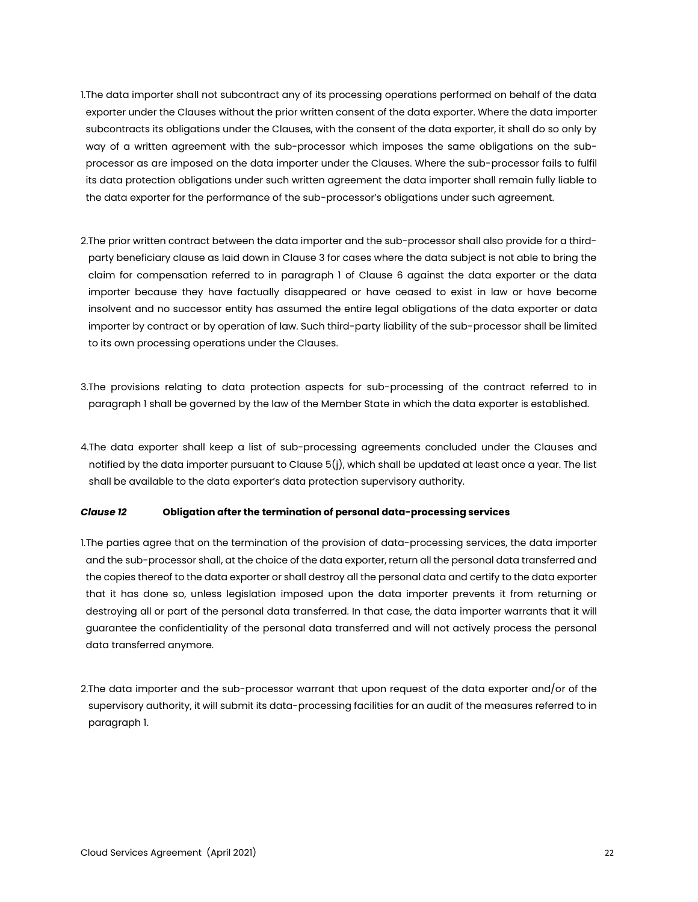- 1.The data importer shall not subcontract any of its processing operations performed on behalf of the data exporter under the Clauses without the prior written consent of the data exporter. Where the data importer subcontracts its obligations under the Clauses, with the consent of the data exporter, it shall do so only by way of a written agreement with the sub-processor which imposes the same obligations on the subprocessor as are imposed on the data importer under the Clauses. Where the sub-processor fails to fulfil its data protection obligations under such written agreement the data importer shall remain fully liable to the data exporter for the performance of the sub-processor's obligations under such agreement.
- 2.The prior written contract between the data importer and the sub-processor shall also provide for a thirdparty beneficiary clause as laid down in Clause 3 for cases where the data subject is not able to bring the claim for compensation referred to in paragraph 1 of Clause 6 against the data exporter or the data importer because they have factually disappeared or have ceased to exist in law or have become insolvent and no successor entity has assumed the entire legal obligations of the data exporter or data importer by contract or by operation of law. Such third-party liability of the sub-processor shall be limited to its own processing operations under the Clauses.
- 3.The provisions relating to data protection aspects for sub-processing of the contract referred to in paragraph 1 shall be governed by the law of the Member State in which the data exporter is established.
- 4.The data exporter shall keep a list of sub-processing agreements concluded under the Clauses and notified by the data importer pursuant to Clause 5(j), which shall be updated at least once a year. The list shall be available to the data exporter's data protection supervisory authority.

### Clause 12 Obligation after the termination of personal data-processing services

- 1.The parties agree that on the termination of the provision of data-processing services, the data importer and the sub-processor shall, at the choice of the data exporter, return all the personal data transferred and the copies thereof to the data exporter or shall destroy all the personal data and certify to the data exporter that it has done so, unless legislation imposed upon the data importer prevents it from returning or destroying all or part of the personal data transferred. In that case, the data importer warrants that it will guarantee the confidentiality of the personal data transferred and will not actively process the personal data transferred anymore.
- 2.The data importer and the sub-processor warrant that upon request of the data exporter and/or of the  $\,$ supervisory authority, it will submit its data-processing facilities for an audit of the measures referred to in paragraph 1.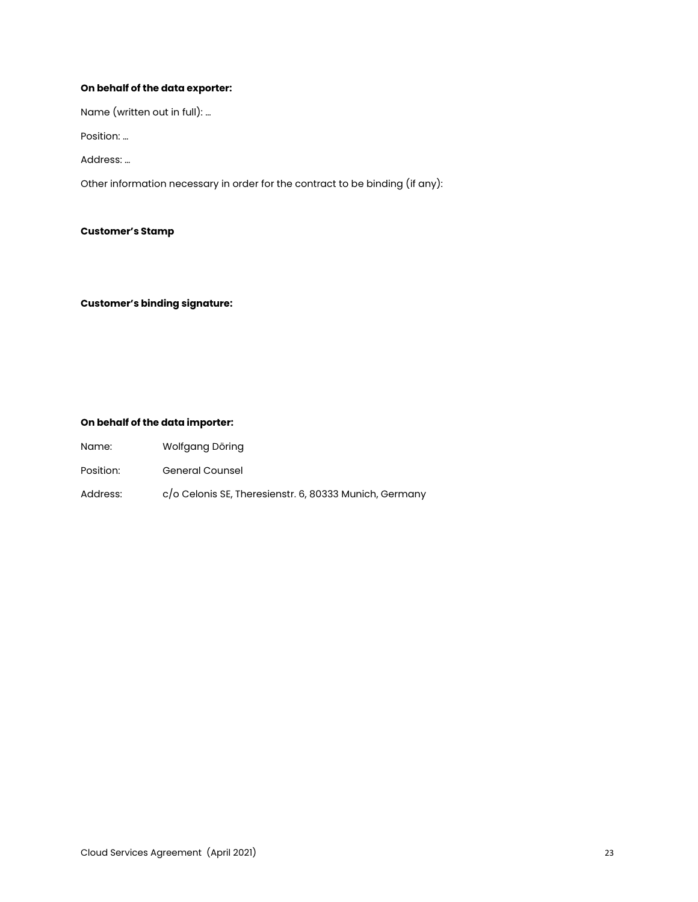# On behalf of the data exporter:

Name (written out in full): …

Position: …

Address: …

Other information necessary in order for the contract to be binding (if any):

### Customer's Stamp

Customer's binding signature:

# On behalf of the data importer:

|  | Name: | Wolfgang Döring |
|--|-------|-----------------|
|--|-------|-----------------|

- Position: General Counsel
- Address: c/o Celonis SE, Theresienstr. 6, 80333 Munich, Germany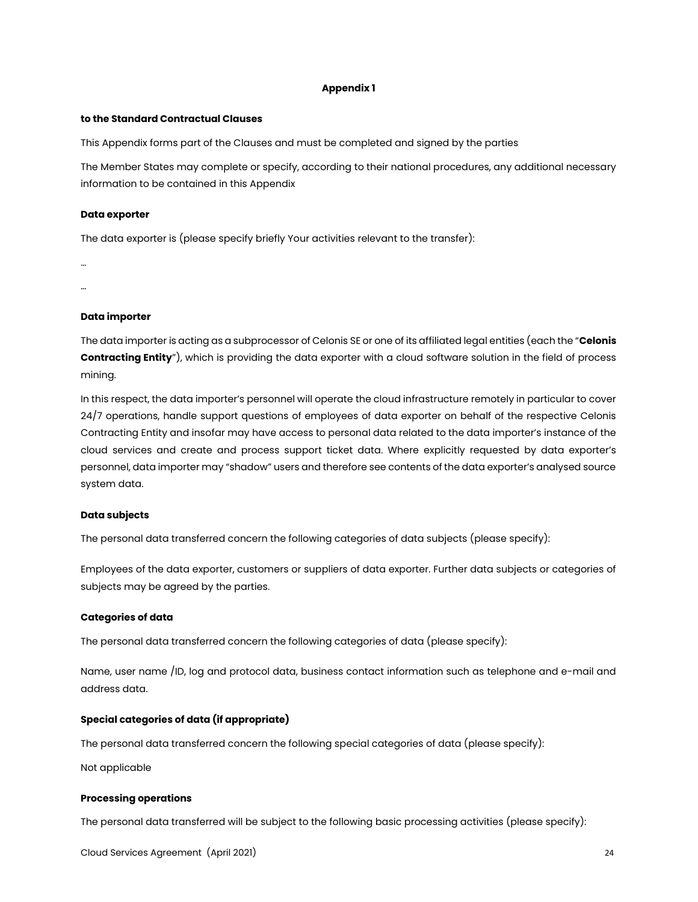#### Appendix 1

#### to the Standard Contractual Clauses

This Appendix forms part of the Clauses and must be completed and signed by the parties

The Member States may complete or specify, according to their national procedures, any additional necessary information to be contained in this Appendix

#### Data exporter

The data exporter is (please specify briefly Your activities relevant to the transfer):

… …

#### Data importer

The data importer is acting as a subprocessor of Celonis SE or one of its affiliated legal entities (each the "Celonis Contracting Entity"), which is providing the data exporter with a cloud software solution in the field of process mining.

In this respect, the data importer's personnel will operate the cloud infrastructure remotely in particular to cover 24/7 operations, handle support questions of employees of data exporter on behalf of the respective Celonis Contracting Entity and insofar may have access to personal data related to the data importer's instance of the cloud services and create and process support ticket data. Where explicitly requested by data exporter's personnel, data importer may "shadow" users and therefore see contents of the data exporter's analysed source system data.

### Data subjects

The personal data transferred concern the following categories of data subjects (please specify):

Employees of the data exporter, customers or suppliers of data exporter. Further data subjects or categories of subjects may be agreed by the parties.

### Categories of data

The personal data transferred concern the following categories of data (please specify):

Name, user name /ID, log and protocol data, business contact information such as telephone and e-mail and address data.

### Special categories of data (if appropriate)

The personal data transferred concern the following special categories of data (please specify):

Not applicable

### Processing operations

The personal data transferred will be subject to the following basic processing activities (please specify):

Cloud Services Agreement (April 2021) 24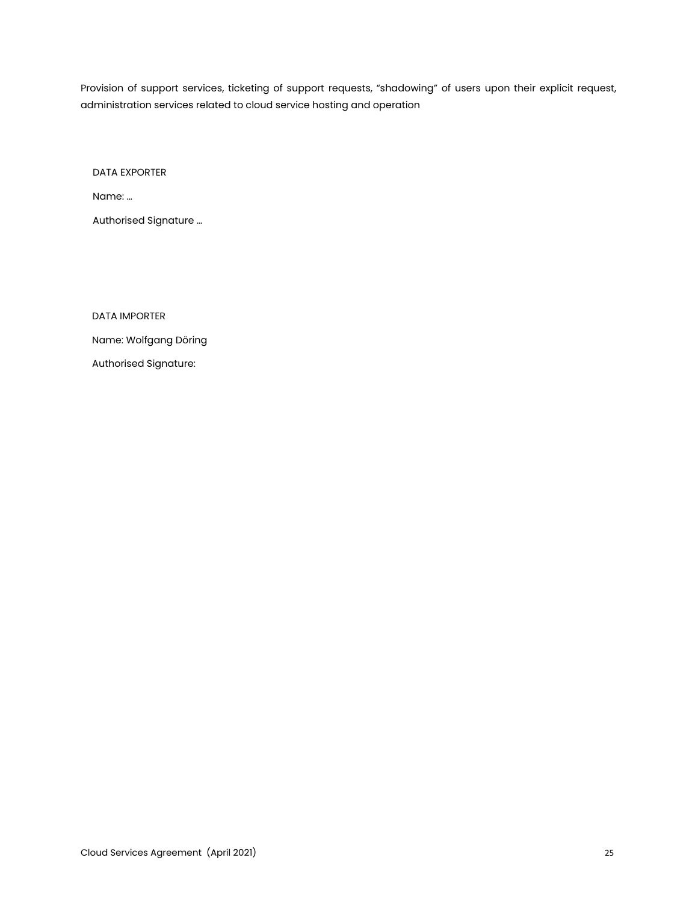Provision of support services, ticketing of support requests, "shadowing" of users upon their explicit request, administration services related to cloud service hosting and operation

DATA EXPORTER

Name: …

Authorised Signature …

DATA IMPORTER

Name: Wolfgang Döring

Authorised Signature: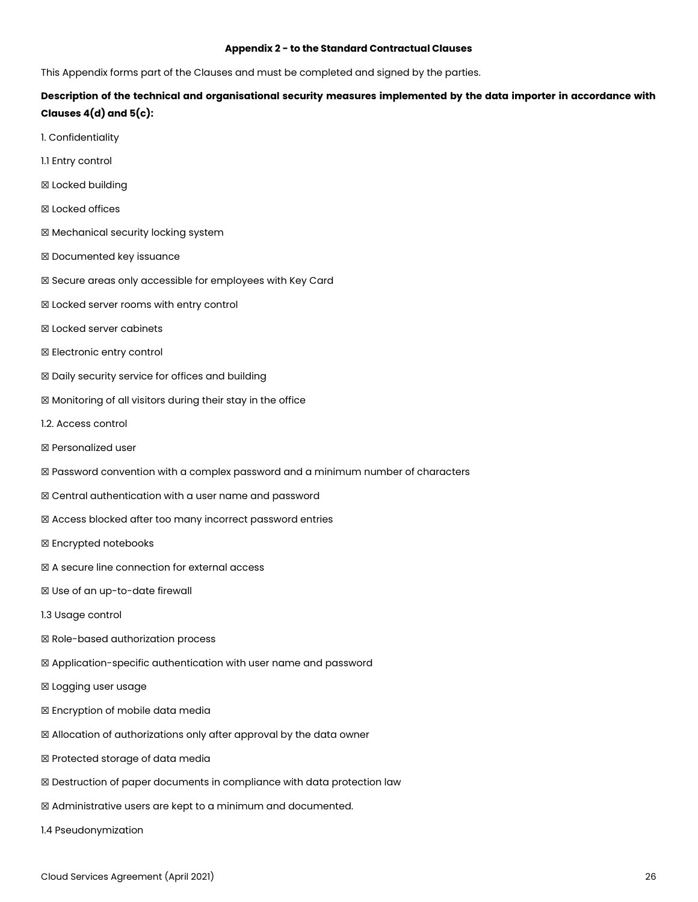#### Appendix 2 - to the Standard Contractual Clauses

This Appendix forms part of the Clauses and must be completed and signed by the parties.

# Description of the technical and organisational security measures implemented by the data importer in accordance with Clauses 4(d) and 5(c):

- 1. Confidentiality
- 1.1 Entry control
- ☒ Locked building
- ☒ Locked offices
- ☒ Mechanical security locking system
- ☒ Documented key issuance
- ☒ Secure areas only accessible for employees with Key Card
- ☒ Locked server rooms with entry control
- ☒ Locked server cabinets
- ☒ Electronic entry control
- ☒ Daily security service for offices and building
- ☒ Monitoring of all visitors during their stay in the office
- 1.2. Access control
- ☒ Personalized user
- ☒ Password convention with a complex password and a minimum number of characters
- ☒ Central authentication with a user name and password
- ☒ Access blocked after too many incorrect password entries
- ☒ Encrypted notebooks
- ☒ A secure line connection for external access
- ☒ Use of an up-to-date firewall
- 1.3 Usage control
- ☒ Role-based authorization process
- ☒ Application-specific authentication with user name and password
- ☒ Logging user usage
- ☒ Encryption of mobile data media
- ☒ Allocation of authorizations only after approval by the data owner
- ☒ Protected storage of data media
- ☒ Destruction of paper documents in compliance with data protection law
- ☒ Administrative users are kept to a minimum and documented.
- 1.4 Pseudonymization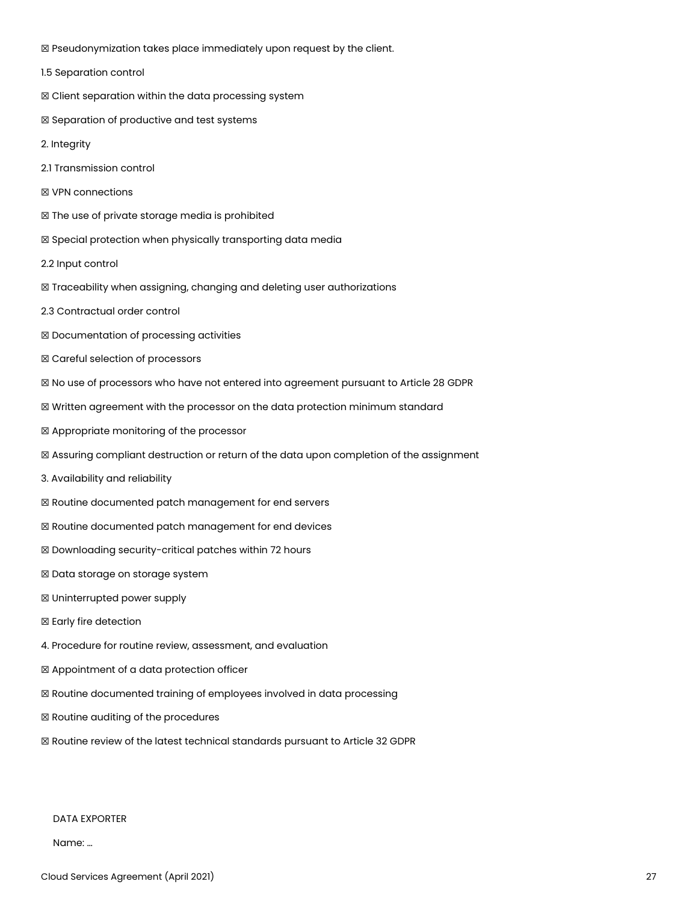☒ Pseudonymization takes place immediately upon request by the client.

1.5 Separation control

☒ Client separation within the data processing system

☒ Separation of productive and test systems

2. Integrity

2.1 Transmission control

☒ VPN connections

☒ The use of private storage media is prohibited

☒ Special protection when physically transporting data media

2.2 Input control

☒ Traceability when assigning, changing and deleting user authorizations

2.3 Contractual order control

☒ Documentation of processing activities

☒ Careful selection of processors

☒ No use of processors who have not entered into agreement pursuant to Article 28 GDPR

☒ Written agreement with the processor on the data protection minimum standard

☒ Appropriate monitoring of the processor

☒ Assuring compliant destruction or return of the data upon completion of the assignment

3. Availability and reliability

☒ Routine documented patch management for end servers

☒ Routine documented patch management for end devices

☒ Downloading security-critical patches within 72 hours

☒ Data storage on storage system

☒ Uninterrupted power supply

☒ Early fire detection

4. Procedure for routine review, assessment, and evaluation

☒ Appointment of a data protection officer

☒ Routine documented training of employees involved in data processing

☒ Routine auditing of the procedures

☒ Routine review of the latest technical standards pursuant to Article 32 GDPR

DATA EXPORTER

Name: …